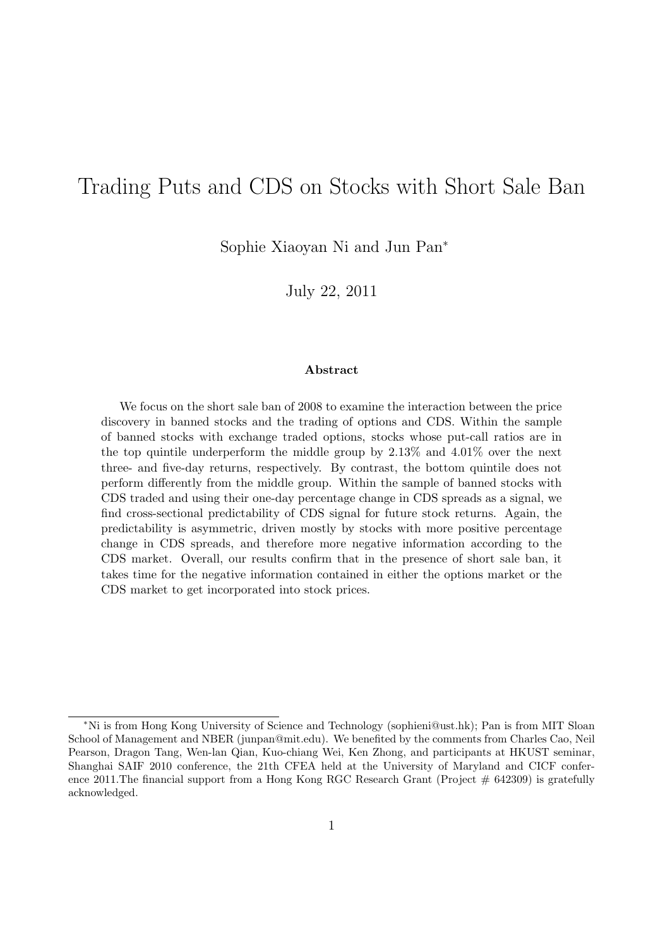# Trading Puts and CDS on Stocks with Short Sale Ban

Sophie Xiaoyan Ni and Jun Pan*<sup>∗</sup>*

July 22, 2011

#### **Abstract**

We focus on the short sale ban of 2008 to examine the interaction between the price discovery in banned stocks and the trading of options and CDS. Within the sample of banned stocks with exchange traded options, stocks whose put-call ratios are in the top quintile underperform the middle group by 2.13% and 4.01% over the next three- and five-day returns, respectively. By contrast, the bottom quintile does not perform differently from the middle group. Within the sample of banned stocks with CDS traded and using their one-day percentage change in CDS spreads as a signal, we find cross-sectional predictability of CDS signal for future stock returns. Again, the predictability is asymmetric, driven mostly by stocks with more positive percentage change in CDS spreads, and therefore more negative information according to the CDS market. Overall, our results confirm that in the presence of short sale ban, it takes time for the negative information contained in either the options market or the CDS market to get incorporated into stock prices.

*<sup>∗</sup>*Ni is from Hong Kong University of Science and Technology (sophieni@ust.hk); Pan is from MIT Sloan School of Management and NBER (junpan@mit.edu). We benefited by the comments from Charles Cao, Neil Pearson, Dragon Tang, Wen-lan Qian, Kuo-chiang Wei, Ken Zhong, and participants at HKUST seminar, Shanghai SAIF 2010 conference, the 21th CFEA held at the University of Maryland and CICF conference 2011. The financial support from a Hong Kong RGC Research Grant (Project # 642309) is gratefully acknowledged.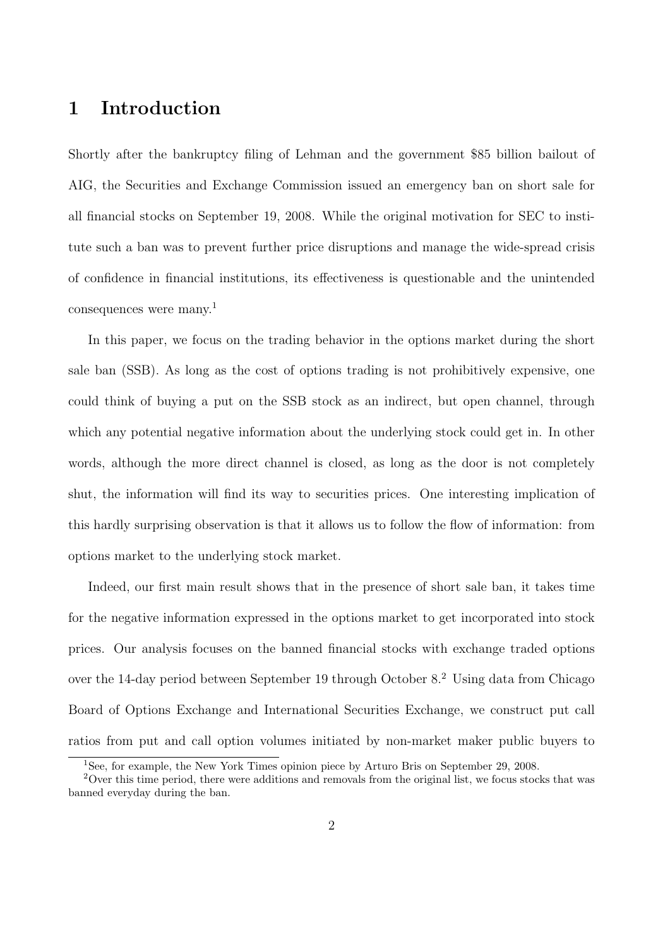## **1 Introduction**

Shortly after the bankruptcy filing of Lehman and the government \$85 billion bailout of AIG, the Securities and Exchange Commission issued an emergency ban on short sale for all financial stocks on September 19, 2008. While the original motivation for SEC to institute such a ban was to prevent further price disruptions and manage the wide-spread crisis of confidence in financial institutions, its effectiveness is questionable and the unintended consequences were many.<sup>1</sup>

In this paper, we focus on the trading behavior in the options market during the short sale ban (SSB). As long as the cost of options trading is not prohibitively expensive, one could think of buying a put on the SSB stock as an indirect, but open channel, through which any potential negative information about the underlying stock could get in. In other words, although the more direct channel is closed, as long as the door is not completely shut, the information will find its way to securities prices. One interesting implication of this hardly surprising observation is that it allows us to follow the flow of information: from options market to the underlying stock market.

Indeed, our first main result shows that in the presence of short sale ban, it takes time for the negative information expressed in the options market to get incorporated into stock prices. Our analysis focuses on the banned financial stocks with exchange traded options over the 14-day period between September 19 through October 8.<sup>2</sup> Using data from Chicago Board of Options Exchange and International Securities Exchange, we construct put call ratios from put and call option volumes initiated by non-market maker public buyers to

<sup>1</sup>See, for example, the New York Times opinion piece by Arturo Bris on September 29, 2008.

<sup>2</sup>Over this time period, there were additions and removals from the original list, we focus stocks that was banned everyday during the ban.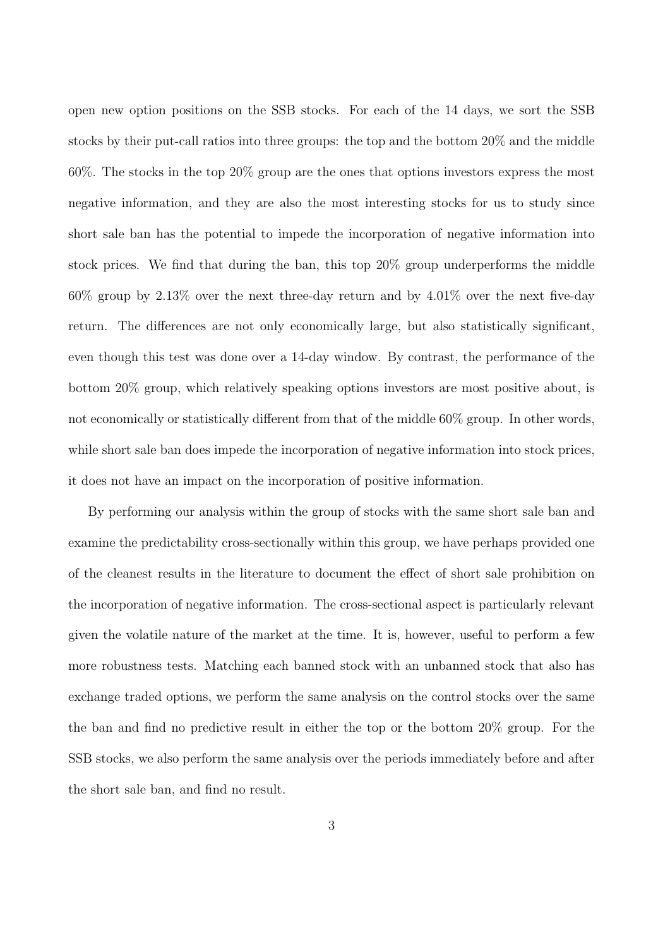open new option positions on the SSB stocks. For each of the 14 days, we sort the SSB stocks by their put-call ratios into three groups: the top and the bottom 20% and the middle 60%. The stocks in the top 20% group are the ones that options investors express the most negative information, and they are also the most interesting stocks for us to study since short sale ban has the potential to impede the incorporation of negative information into stock prices. We find that during the ban, this top 20% group underperforms the middle 60% group by 2.13% over the next three-day return and by 4.01% over the next five-day return. The differences are not only economically large, but also statistically significant, even though this test was done over a 14-day window. By contrast, the performance of the bottom 20% group, which relatively speaking options investors are most positive about, is not economically or statistically different from that of the middle 60% group. In other words, while short sale ban does impede the incorporation of negative information into stock prices, it does not have an impact on the incorporation of positive information.

By performing our analysis within the group of stocks with the same short sale ban and examine the predictability cross-sectionally within this group, we have perhaps provided one of the cleanest results in the literature to document the effect of short sale prohibition on the incorporation of negative information. The cross-sectional aspect is particularly relevant given the volatile nature of the market at the time. It is, however, useful to perform a few more robustness tests. Matching each banned stock with an unbanned stock that also has exchange traded options, we perform the same analysis on the control stocks over the same the ban and find no predictive result in either the top or the bottom 20% group. For the SSB stocks, we also perform the same analysis over the periods immediately before and after the short sale ban, and find no result.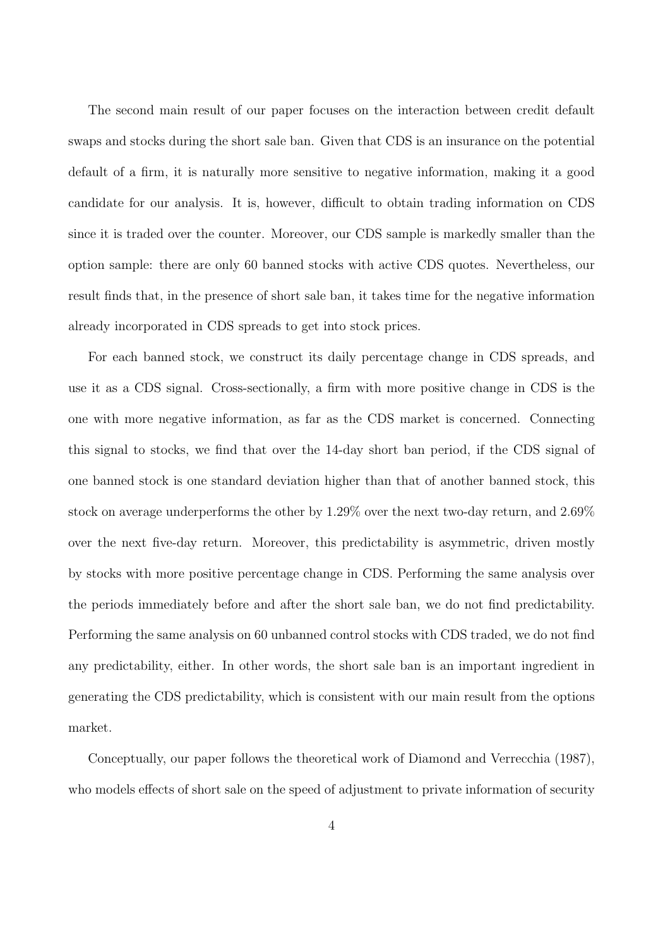The second main result of our paper focuses on the interaction between credit default swaps and stocks during the short sale ban. Given that CDS is an insurance on the potential default of a firm, it is naturally more sensitive to negative information, making it a good candidate for our analysis. It is, however, difficult to obtain trading information on CDS since it is traded over the counter. Moreover, our CDS sample is markedly smaller than the option sample: there are only 60 banned stocks with active CDS quotes. Nevertheless, our result finds that, in the presence of short sale ban, it takes time for the negative information already incorporated in CDS spreads to get into stock prices.

For each banned stock, we construct its daily percentage change in CDS spreads, and use it as a CDS signal. Cross-sectionally, a firm with more positive change in CDS is the one with more negative information, as far as the CDS market is concerned. Connecting this signal to stocks, we find that over the 14-day short ban period, if the CDS signal of one banned stock is one standard deviation higher than that of another banned stock, this stock on average underperforms the other by 1.29% over the next two-day return, and 2.69% over the next five-day return. Moreover, this predictability is asymmetric, driven mostly by stocks with more positive percentage change in CDS. Performing the same analysis over the periods immediately before and after the short sale ban, we do not find predictability. Performing the same analysis on 60 unbanned control stocks with CDS traded, we do not find any predictability, either. In other words, the short sale ban is an important ingredient in generating the CDS predictability, which is consistent with our main result from the options market.

Conceptually, our paper follows the theoretical work of Diamond and Verrecchia (1987), who models effects of short sale on the speed of adjustment to private information of security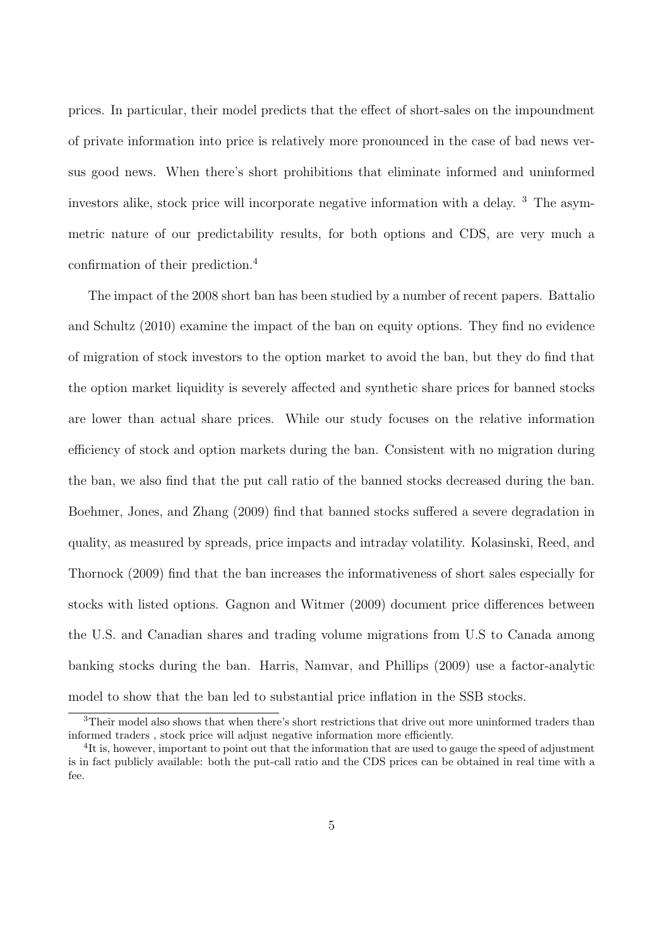prices. In particular, their model predicts that the effect of short-sales on the impoundment of private information into price is relatively more pronounced in the case of bad news versus good news. When there's short prohibitions that eliminate informed and uninformed investors alike, stock price will incorporate negative information with a delay. <sup>3</sup> The asymmetric nature of our predictability results, for both options and CDS, are very much a confirmation of their prediction.<sup>4</sup>

The impact of the 2008 short ban has been studied by a number of recent papers. Battalio and Schultz (2010) examine the impact of the ban on equity options. They find no evidence of migration of stock investors to the option market to avoid the ban, but they do find that the option market liquidity is severely affected and synthetic share prices for banned stocks are lower than actual share prices. While our study focuses on the relative information efficiency of stock and option markets during the ban. Consistent with no migration during the ban, we also find that the put call ratio of the banned stocks decreased during the ban. Boehmer, Jones, and Zhang (2009) find that banned stocks suffered a severe degradation in quality, as measured by spreads, price impacts and intraday volatility. Kolasinski, Reed, and Thornock (2009) find that the ban increases the informativeness of short sales especially for stocks with listed options. Gagnon and Witmer (2009) document price differences between the U.S. and Canadian shares and trading volume migrations from U.S to Canada among banking stocks during the ban. Harris, Namvar, and Phillips (2009) use a factor-analytic model to show that the ban led to substantial price inflation in the SSB stocks.

<sup>&</sup>lt;sup>3</sup>Their model also shows that when there's short restrictions that drive out more uninformed traders than informed traders , stock price will adjust negative information more efficiently.

<sup>&</sup>lt;sup>4</sup>It is, however, important to point out that the information that are used to gauge the speed of adjustment is in fact publicly available: both the put-call ratio and the CDS prices can be obtained in real time with a fee.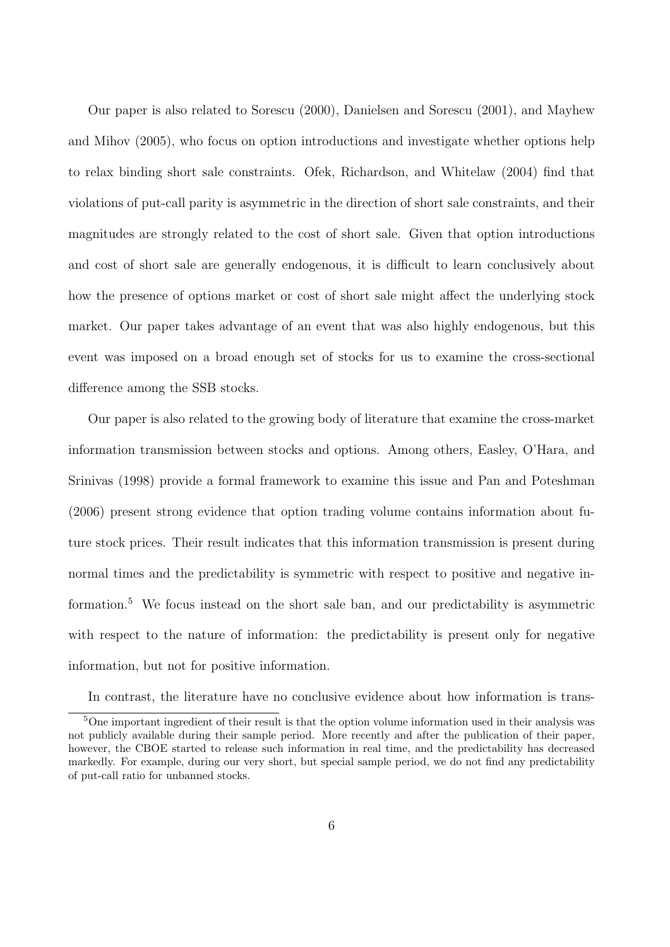Our paper is also related to Sorescu (2000), Danielsen and Sorescu (2001), and Mayhew and Mihov (2005), who focus on option introductions and investigate whether options help to relax binding short sale constraints. Ofek, Richardson, and Whitelaw (2004) find that violations of put-call parity is asymmetric in the direction of short sale constraints, and their magnitudes are strongly related to the cost of short sale. Given that option introductions and cost of short sale are generally endogenous, it is difficult to learn conclusively about how the presence of options market or cost of short sale might affect the underlying stock market. Our paper takes advantage of an event that was also highly endogenous, but this event was imposed on a broad enough set of stocks for us to examine the cross-sectional difference among the SSB stocks.

Our paper is also related to the growing body of literature that examine the cross-market information transmission between stocks and options. Among others, Easley, O'Hara, and Srinivas (1998) provide a formal framework to examine this issue and Pan and Poteshman (2006) present strong evidence that option trading volume contains information about future stock prices. Their result indicates that this information transmission is present during normal times and the predictability is symmetric with respect to positive and negative information.<sup>5</sup> We focus instead on the short sale ban, and our predictability is asymmetric with respect to the nature of information: the predictability is present only for negative information, but not for positive information.

In contrast, the literature have no conclusive evidence about how information is trans-

<sup>5</sup>One important ingredient of their result is that the option volume information used in their analysis was not publicly available during their sample period. More recently and after the publication of their paper, however, the CBOE started to release such information in real time, and the predictability has decreased markedly. For example, during our very short, but special sample period, we do not find any predictability of put-call ratio for unbanned stocks.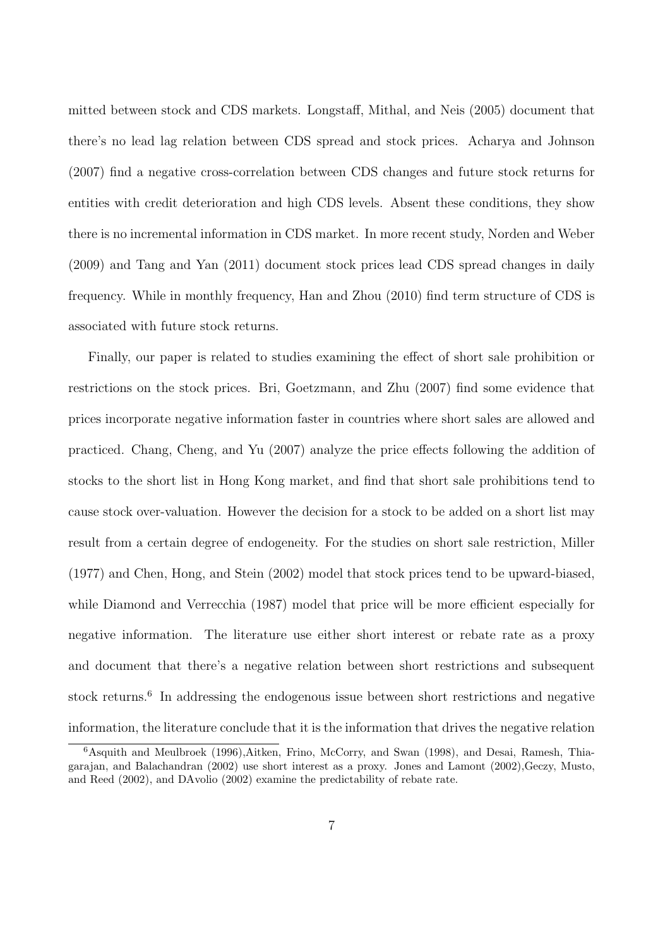mitted between stock and CDS markets. Longstaff, Mithal, and Neis (2005) document that there's no lead lag relation between CDS spread and stock prices. Acharya and Johnson (2007) find a negative cross-correlation between CDS changes and future stock returns for entities with credit deterioration and high CDS levels. Absent these conditions, they show there is no incremental information in CDS market. In more recent study, Norden and Weber (2009) and Tang and Yan (2011) document stock prices lead CDS spread changes in daily frequency. While in monthly frequency, Han and Zhou (2010) find term structure of CDS is associated with future stock returns.

Finally, our paper is related to studies examining the effect of short sale prohibition or restrictions on the stock prices. Bri, Goetzmann, and Zhu (2007) find some evidence that prices incorporate negative information faster in countries where short sales are allowed and practiced. Chang, Cheng, and Yu (2007) analyze the price effects following the addition of stocks to the short list in Hong Kong market, and find that short sale prohibitions tend to cause stock over-valuation. However the decision for a stock to be added on a short list may result from a certain degree of endogeneity. For the studies on short sale restriction, Miller (1977) and Chen, Hong, and Stein (2002) model that stock prices tend to be upward-biased, while Diamond and Verrecchia (1987) model that price will be more efficient especially for negative information. The literature use either short interest or rebate rate as a proxy and document that there's a negative relation between short restrictions and subsequent stock returns.<sup>6</sup> In addressing the endogenous issue between short restrictions and negative information, the literature conclude that it is the information that drives the negative relation

<sup>6</sup>Asquith and Meulbroek (1996),Aitken, Frino, McCorry, and Swan (1998), and Desai, Ramesh, Thiagarajan, and Balachandran (2002) use short interest as a proxy. Jones and Lamont (2002),Geczy, Musto, and Reed (2002), and DAvolio (2002) examine the predictability of rebate rate.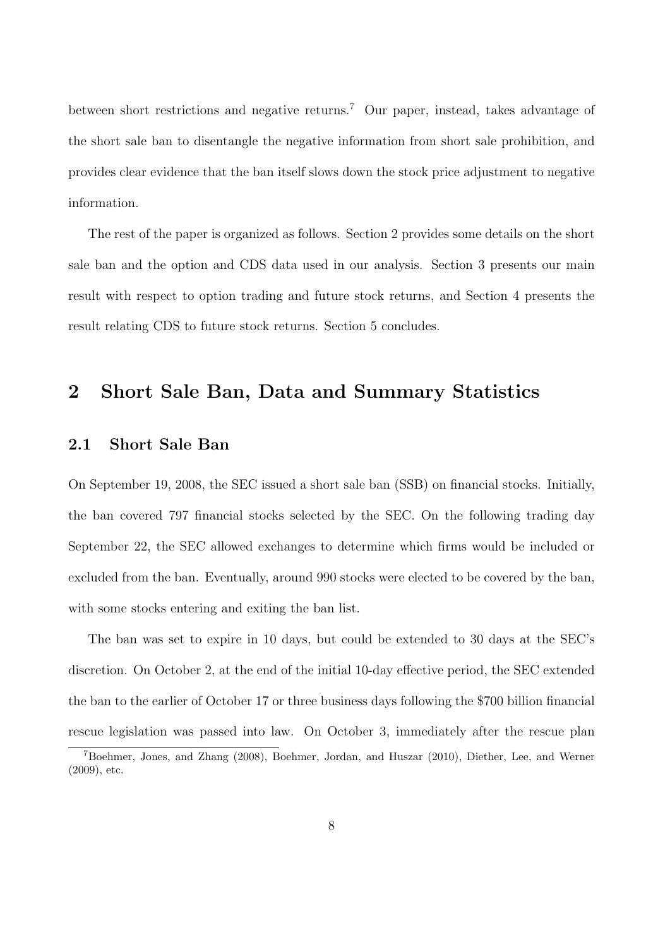between short restrictions and negative returns.<sup>7</sup> Our paper, instead, takes advantage of the short sale ban to disentangle the negative information from short sale prohibition, and provides clear evidence that the ban itself slows down the stock price adjustment to negative information.

The rest of the paper is organized as follows. Section 2 provides some details on the short sale ban and the option and CDS data used in our analysis. Section 3 presents our main result with respect to option trading and future stock returns, and Section 4 presents the result relating CDS to future stock returns. Section 5 concludes.

### **2 Short Sale Ban, Data and Summary Statistics**

#### **2.1 Short Sale Ban**

On September 19, 2008, the SEC issued a short sale ban (SSB) on financial stocks. Initially, the ban covered 797 financial stocks selected by the SEC. On the following trading day September 22, the SEC allowed exchanges to determine which firms would be included or excluded from the ban. Eventually, around 990 stocks were elected to be covered by the ban, with some stocks entering and exiting the ban list.

The ban was set to expire in 10 days, but could be extended to 30 days at the SEC's discretion. On October 2, at the end of the initial 10-day effective period, the SEC extended the ban to the earlier of October 17 or three business days following the \$700 billion financial rescue legislation was passed into law. On October 3, immediately after the rescue plan

<sup>7</sup>Boehmer, Jones, and Zhang (2008), Boehmer, Jordan, and Huszar (2010), Diether, Lee, and Werner (2009), etc.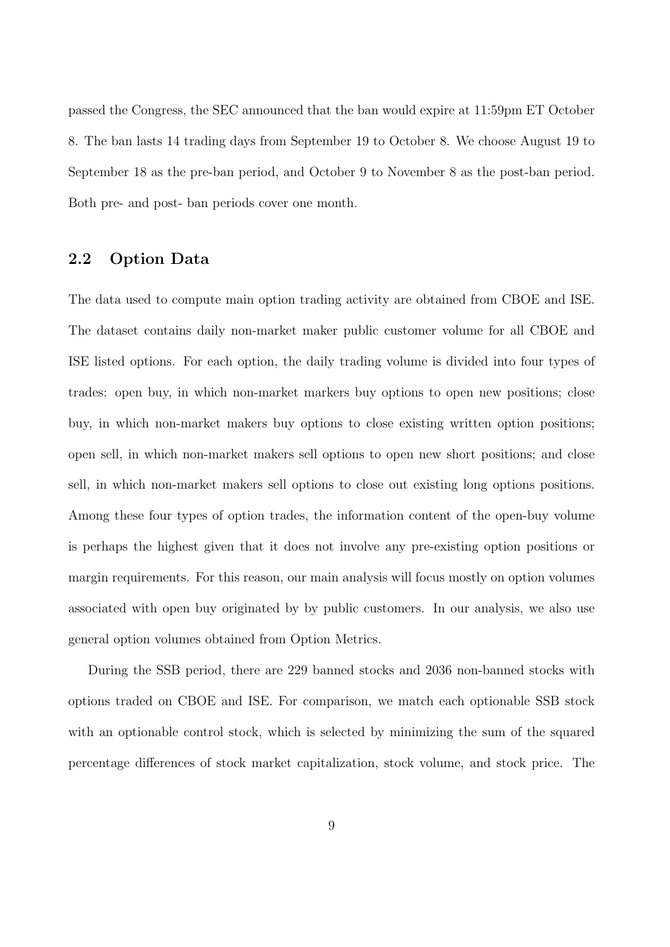passed the Congress, the SEC announced that the ban would expire at 11:59pm ET October 8. The ban lasts 14 trading days from September 19 to October 8. We choose August 19 to September 18 as the pre-ban period, and October 9 to November 8 as the post-ban period. Both pre- and post- ban periods cover one month.

### **2.2 Option Data**

The data used to compute main option trading activity are obtained from CBOE and ISE. The dataset contains daily non-market maker public customer volume for all CBOE and ISE listed options. For each option, the daily trading volume is divided into four types of trades: open buy, in which non-market markers buy options to open new positions; close buy, in which non-market makers buy options to close existing written option positions; open sell, in which non-market makers sell options to open new short positions; and close sell, in which non-market makers sell options to close out existing long options positions. Among these four types of option trades, the information content of the open-buy volume is perhaps the highest given that it does not involve any pre-existing option positions or margin requirements. For this reason, our main analysis will focus mostly on option volumes associated with open buy originated by by public customers. In our analysis, we also use general option volumes obtained from Option Metrics.

During the SSB period, there are 229 banned stocks and 2036 non-banned stocks with options traded on CBOE and ISE. For comparison, we match each optionable SSB stock with an optionable control stock, which is selected by minimizing the sum of the squared percentage differences of stock market capitalization, stock volume, and stock price. The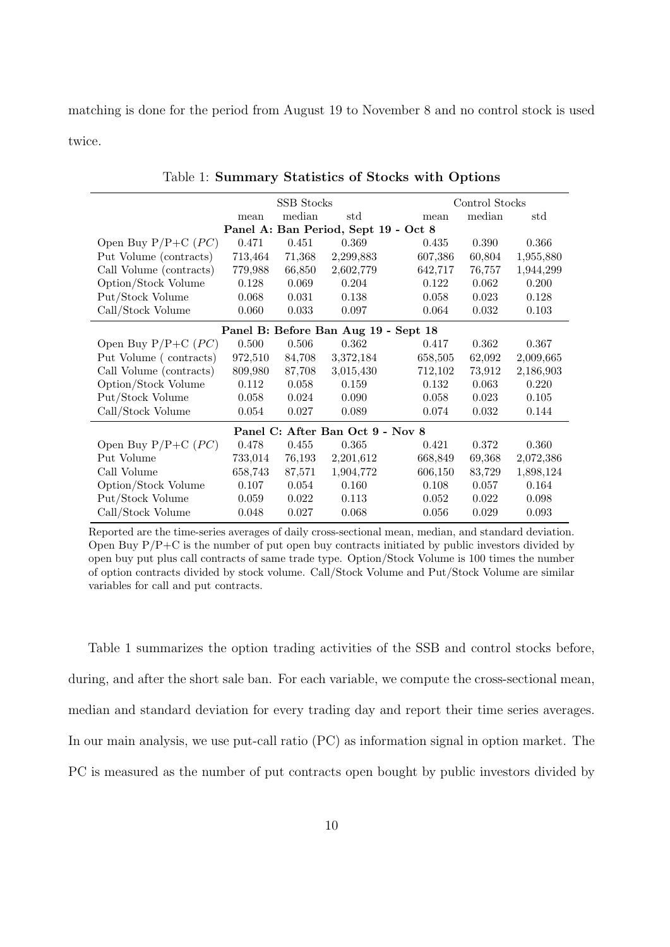matching is done for the period from August 19 to November 8 and no control stock is used twice.

| <b>SSB</b> Stocks<br>Control Stocks  |         |        |                                      |         |        |           |  |  |  |
|--------------------------------------|---------|--------|--------------------------------------|---------|--------|-----------|--|--|--|
|                                      | mean    | median | std                                  | mean    | median | std       |  |  |  |
|                                      |         |        | Panel A: Ban Period, Sept 19 - Oct 8 |         |        |           |  |  |  |
| Open Buy $P/P+C$ ( <i>PC</i> )       | 0.471   | 0.451  | 0.369                                | 0.435   | 0.390  | 0.366     |  |  |  |
| Put Volume (contracts)               | 713,464 | 71,368 | 2,299,883                            | 607,386 | 60,804 | 1,955,880 |  |  |  |
| Call Volume (contracts)              | 779,988 | 66,850 | 2,602,779                            | 642,717 | 76,757 | 1,944,299 |  |  |  |
| Option/Stock Volume                  | 0.128   | 0.069  | 0.204                                | 0.122   | 0.062  | 0.200     |  |  |  |
| Put/Stock Volume                     | 0.068   | 0.031  | 0.138                                | 0.058   | 0.023  | 0.128     |  |  |  |
| Call/Stock Volume                    | 0.060   | 0.033  | 0.097                                | 0.064   | 0.032  | 0.103     |  |  |  |
| Panel B: Before Ban Aug 19 - Sept 18 |         |        |                                      |         |        |           |  |  |  |
| Open Buy $P/P+C$ ( <i>PC</i> )       | 0.500   | 0.506  | 0.362                                | 0.417   | 0.362  | 0.367     |  |  |  |
| Put Volume (contracts)               | 972,510 | 84,708 | 3,372,184                            | 658,505 | 62,092 | 2,009,665 |  |  |  |
| Call Volume (contracts)              | 809,980 | 87,708 | 3,015,430                            | 712,102 | 73,912 | 2,186,903 |  |  |  |
| Option/Stock Volume                  | 0.112   | 0.058  | 0.159                                | 0.132   | 0.063  | 0.220     |  |  |  |
| Put/Stock Volume                     | 0.058   | 0.024  | 0.090                                | 0.058   | 0.023  | 0.105     |  |  |  |
| Call/Stock Volume                    | 0.054   | 0.027  | 0.089                                | 0.074   | 0.032  | 0.144     |  |  |  |
| Panel C: After Ban Oct 9 - Nov 8     |         |        |                                      |         |        |           |  |  |  |
| Open Buy $P/P+C$ ( <i>PC</i> )       | 0.478   | 0.455  | 0.365                                | 0.421   | 0.372  | 0.360     |  |  |  |
| Put Volume                           | 733,014 | 76,193 | 2,201,612                            | 668,849 | 69,368 | 2,072,386 |  |  |  |
| Call Volume                          | 658,743 | 87,571 | 1,904,772                            | 606,150 | 83,729 | 1,898,124 |  |  |  |
| Option/Stock Volume                  | 0.107   | 0.054  | 0.160                                | 0.108   | 0.057  | 0.164     |  |  |  |
| Put/Stock Volume                     | 0.059   | 0.022  | 0.113                                | 0.052   | 0.022  | 0.098     |  |  |  |
| Call/Stock Volume                    | 0.048   | 0.027  | 0.068                                | 0.056   | 0.029  | 0.093     |  |  |  |

Table 1: **Summary Statistics of Stocks with Options**

Reported are the time-series averages of daily cross-sectional mean, median, and standard deviation. Open Buy  $P/P+C$  is the number of put open buy contracts initiated by public investors divided by open buy put plus call contracts of same trade type. Option/Stock Volume is 100 times the number of option contracts divided by stock volume. Call/Stock Volume and Put/Stock Volume are similar variables for call and put contracts.

Table 1 summarizes the option trading activities of the SSB and control stocks before, during, and after the short sale ban. For each variable, we compute the cross-sectional mean, median and standard deviation for every trading day and report their time series averages. In our main analysis, we use put-call ratio (PC) as information signal in option market. The PC is measured as the number of put contracts open bought by public investors divided by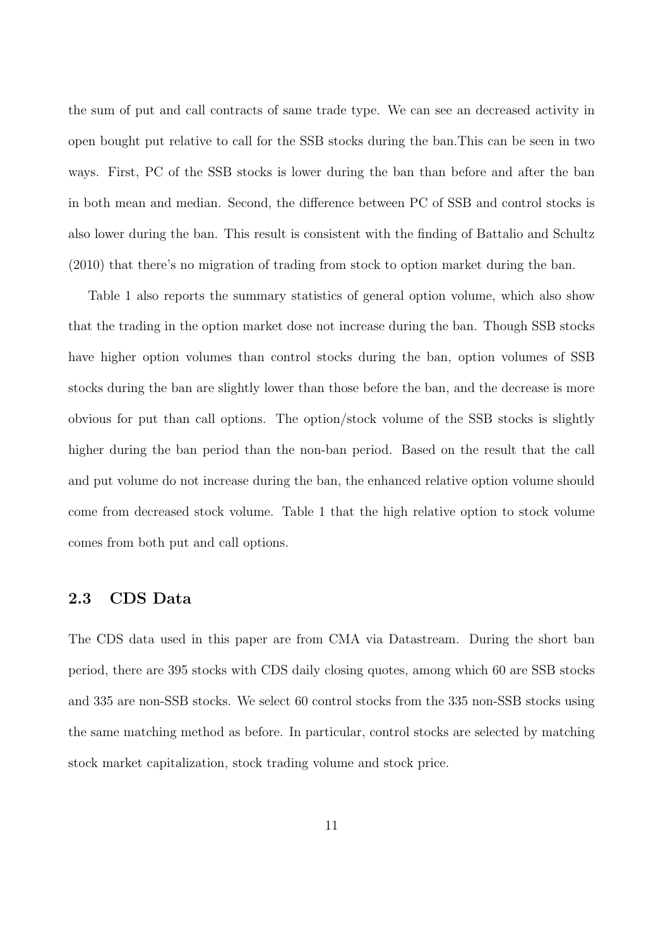the sum of put and call contracts of same trade type. We can see an decreased activity in open bought put relative to call for the SSB stocks during the ban.This can be seen in two ways. First, PC of the SSB stocks is lower during the ban than before and after the ban in both mean and median. Second, the difference between PC of SSB and control stocks is also lower during the ban. This result is consistent with the finding of Battalio and Schultz (2010) that there's no migration of trading from stock to option market during the ban.

Table 1 also reports the summary statistics of general option volume, which also show that the trading in the option market dose not increase during the ban. Though SSB stocks have higher option volumes than control stocks during the ban, option volumes of SSB stocks during the ban are slightly lower than those before the ban, and the decrease is more obvious for put than call options. The option/stock volume of the SSB stocks is slightly higher during the ban period than the non-ban period. Based on the result that the call and put volume do not increase during the ban, the enhanced relative option volume should come from decreased stock volume. Table 1 that the high relative option to stock volume comes from both put and call options.

### **2.3 CDS Data**

The CDS data used in this paper are from CMA via Datastream. During the short ban period, there are 395 stocks with CDS daily closing quotes, among which 60 are SSB stocks and 335 are non-SSB stocks. We select 60 control stocks from the 335 non-SSB stocks using the same matching method as before. In particular, control stocks are selected by matching stock market capitalization, stock trading volume and stock price.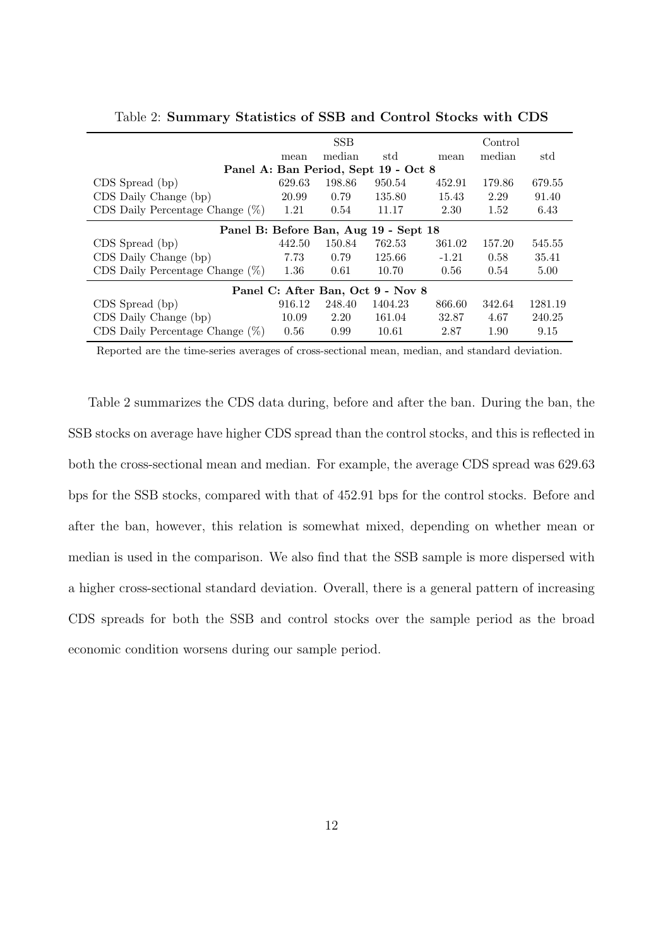| <b>SSB</b><br>Control                 |        |        |                                      |         |        |         |  |  |  |
|---------------------------------------|--------|--------|--------------------------------------|---------|--------|---------|--|--|--|
|                                       | mean   | median | std                                  | mean    | median | std     |  |  |  |
|                                       |        |        | Panel A: Ban Period, Sept 19 - Oct 8 |         |        |         |  |  |  |
| CDS Spread (bp)                       | 629.63 | 198.86 | 950.54                               | 452.91  | 179.86 | 679.55  |  |  |  |
| CDS Daily Change (bp)                 | 20.99  | 0.79   | 135.80                               | 15.43   | 2.29   | 91.40   |  |  |  |
| CDS Daily Percentage Change $(\%)$    | 1.21   | 0.54   | 11.17                                | 2.30    | 1.52   | 6.43    |  |  |  |
| Panel B: Before Ban, Aug 19 - Sept 18 |        |        |                                      |         |        |         |  |  |  |
| CDS Spread (bp)                       | 442.50 | 150.84 | 762.53                               | 361.02  | 157.20 | 545.55  |  |  |  |
| CDS Daily Change (bp)                 | 7.73   | 0.79   | 125.66                               | $-1.21$ | 0.58   | 35.41   |  |  |  |
| CDS Daily Percentage Change $(\%)$    | 1.36   | 0.61   | 10.70                                | 0.56    | 0.54   | 5.00    |  |  |  |
| Panel C: After Ban, Oct 9 - Nov 8     |        |        |                                      |         |        |         |  |  |  |
| CDS Spread (bp)                       | 916.12 | 248.40 | 1404.23                              | 866.60  | 342.64 | 1281.19 |  |  |  |
| CDS Daily Change (bp)                 | 10.09  | 2.20   | 161.04                               | 32.87   | 4.67   | 240.25  |  |  |  |
| CDS Daily Percentage Change $(\%)$    | 0.56   | 0.99   | 10.61                                | 2.87    | 1.90   | 9.15    |  |  |  |

Table 2: **Summary Statistics of SSB and Control Stocks with CDS**

Reported are the time-series averages of cross-sectional mean, median, and standard deviation.

Table 2 summarizes the CDS data during, before and after the ban. During the ban, the SSB stocks on average have higher CDS spread than the control stocks, and this is reflected in both the cross-sectional mean and median. For example, the average CDS spread was 629.63 bps for the SSB stocks, compared with that of 452.91 bps for the control stocks. Before and after the ban, however, this relation is somewhat mixed, depending on whether mean or median is used in the comparison. We also find that the SSB sample is more dispersed with a higher cross-sectional standard deviation. Overall, there is a general pattern of increasing CDS spreads for both the SSB and control stocks over the sample period as the broad economic condition worsens during our sample period.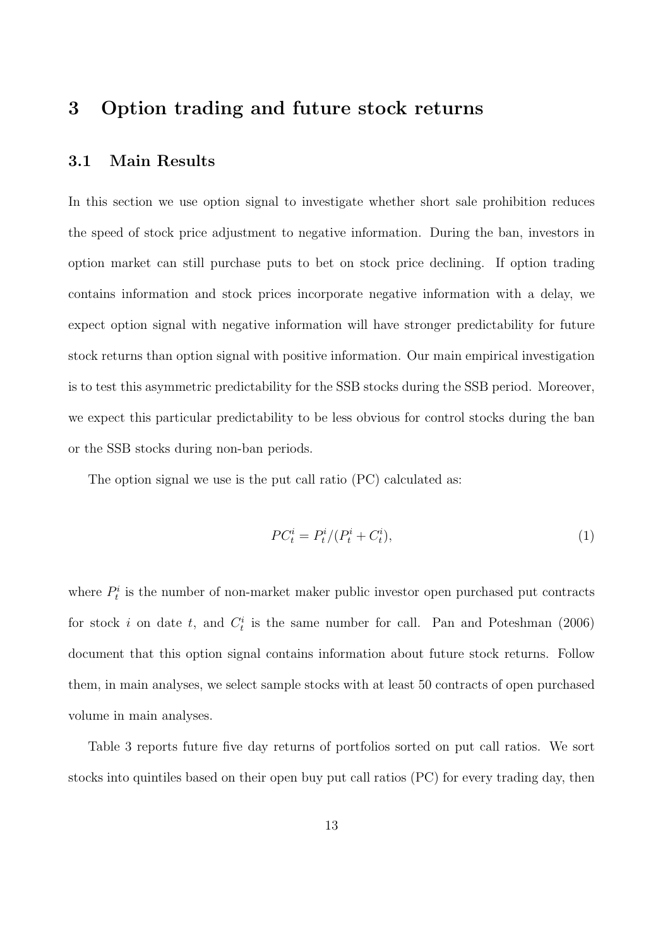### **3 Option trading and future stock returns**

### **3.1 Main Results**

In this section we use option signal to investigate whether short sale prohibition reduces the speed of stock price adjustment to negative information. During the ban, investors in option market can still purchase puts to bet on stock price declining. If option trading contains information and stock prices incorporate negative information with a delay, we expect option signal with negative information will have stronger predictability for future stock returns than option signal with positive information. Our main empirical investigation is to test this asymmetric predictability for the SSB stocks during the SSB period. Moreover, we expect this particular predictability to be less obvious for control stocks during the ban or the SSB stocks during non-ban periods.

The option signal we use is the put call ratio (PC) calculated as:

$$
PC_t^i = P_t^i / (P_t^i + C_t^i),\tag{1}
$$

where  $P_t^i$  is the number of non-market maker public investor open purchased put contracts for stock *i* on date *t*, and  $C_t^i$  is the same number for call. Pan and Poteshman (2006) document that this option signal contains information about future stock returns. Follow them, in main analyses, we select sample stocks with at least 50 contracts of open purchased volume in main analyses.

Table 3 reports future five day returns of portfolios sorted on put call ratios. We sort stocks into quintiles based on their open buy put call ratios (PC) for every trading day, then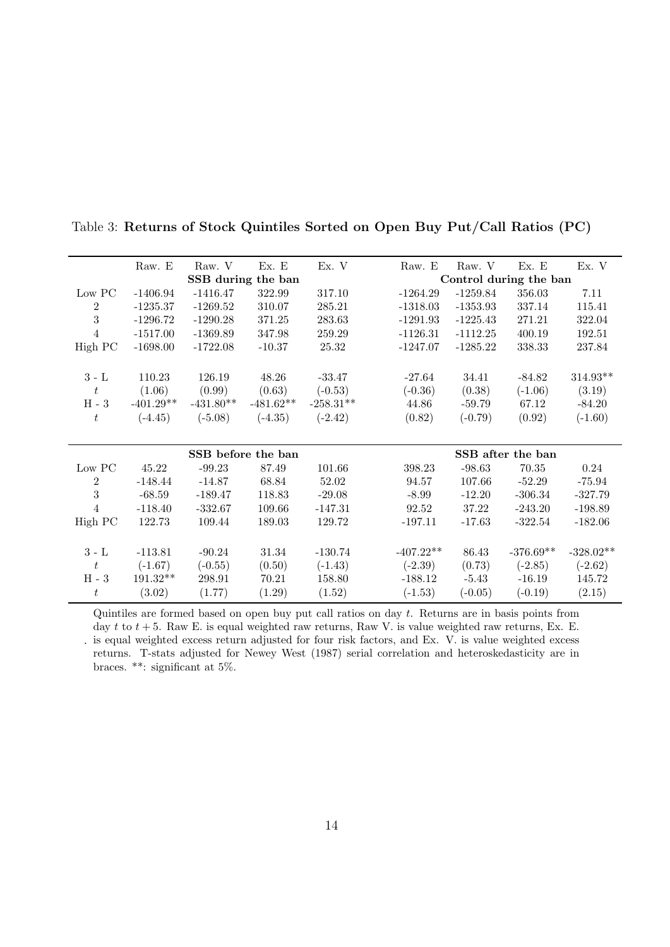|                     | Raw. E      | Raw. V             | Ex. E              | Ex. V       | Raw. E      | Raw. V     | Ex. E                  | Ex. V       |
|---------------------|-------------|--------------------|--------------------|-------------|-------------|------------|------------------------|-------------|
|                     |             |                    | SSB during the ban |             |             |            | Control during the ban |             |
| Low PC              | $-1406.94$  | $-1416.47$         | 322.99             | 317.10      | $-1264.29$  | $-1259.84$ | 356.03                 | 7.11        |
| $\sqrt{2}$          | $-1235.37$  | $-1269.52$         | 310.07             | 285.21      | $-1318.03$  | $-1353.93$ | 337.14                 | 115.41      |
| 3                   | $-1296.72$  | $-1290.28$         | 371.25             | 283.63      | $-1291.93$  | $-1225.43$ | 271.21                 | 322.04      |
| $\overline{4}$      | $-1517.00$  | $-1369.89$         | 347.98             | 259.29      | $-1126.31$  | $-1112.25$ | 400.19                 | 192.51      |
| High PC             | $-1698.00$  | $-1722.08$         | $-10.37$           | $25.32\,$   | $-1247.07$  | $-1285.22$ | 338.33                 | 237.84      |
| $3$ - $\mathcal{L}$ | 110.23      | 126.19             | 48.26              | $-33.47$    | $-27.64$    | 34.41      | $-84.82$               | 314.93**    |
| t                   | (1.06)      | (0.99)             | (0.63)             | $(-0.53)$   | $(-0.36)$   | (0.38)     | $(-1.06)$              | (3.19)      |
| $\rm H$ - $3$       | $-401.29**$ | $-431.80**$        | $-481.62**$        | $-258.31**$ | 44.86       | $-59.79$   | 67.12                  | $-84.20$    |
| $t\,$               | $(-4.45)$   | $(-5.08)$          | $(-4.35)$          | $(-2.42)$   | (0.82)      | $(-0.79)$  | (0.92)                 | $(-1.60)$   |
|                     |             |                    |                    |             |             |            |                        |             |
|                     |             |                    |                    |             |             |            |                        |             |
|                     |             | SSB before the ban |                    |             |             |            | SSB after the ban      |             |
| $\rm Low\ PC$       | 45.22       | $-99.23$           | 87.49              | 101.66      | 398.23      | $-98.63$   | 70.35                  | 0.24        |
| $\boldsymbol{2}$    | $-148.44$   | $-14.87$           | 68.84              | 52.02       | 94.57       | 107.66     | $-52.29$               | $-75.94$    |
| 3                   | $-68.59$    | $-189.47$          | 118.83             | $-29.08$    | $-8.99$     | $-12.20$   | $-306.34$              | $-327.79$   |
| $\overline{4}$      | $-118.40$   | $-332.67$          | 109.66             | $-147.31$   | 92.52       | 37.22      | $-243.20$              | $-198.89$   |
| High PC             | 122.73      | 109.44             | 189.03             | 129.72      | $-197.11$   | $-17.63$   | $-322.54$              | $-182.06$   |
|                     |             |                    |                    |             |             |            |                        |             |
| $3 - L$             | $-113.81$   | $-90.24$           | 31.34              | $-130.74$   | $-407.22**$ | 86.43      | $-376.69**$            | $-328.02**$ |
| $t\,$               | $(-1.67)$   | $(-0.55)$          | (0.50)             | $(-1.43)$   | $(-2.39)$   | (0.73)     | $(-2.85)$              | $(-2.62)$   |
| $\rm H$ - $3$       | $191.32**$  | 298.91             | 70.21              | 158.80      | $-188.12$   | $-5.43$    | $-16.19$               | 145.72      |
| $t_{\rm}$           | (3.02)      | (1.77)             | (1.29)             | (1.52)      | $(-1.53)$   | $(-0.05)$  | $(-0.19)$              | (2.15)      |

Table 3: **Returns of Stock Quintiles Sorted on Open Buy Put/Call Ratios (PC)**

. is equal weighted excess return adjusted for four risk factors, and Ex. V. is value weighted excess Quintiles are formed based on open buy put call ratios on day *t*. Returns are in basis points from day *t* to *t* + 5. Raw E. is equal weighted raw returns, Raw V. is value weighted raw returns, Ex. E. returns. T-stats adjusted for Newey West (1987) serial correlation and heteroskedasticity are in braces. \*\*: significant at 5%.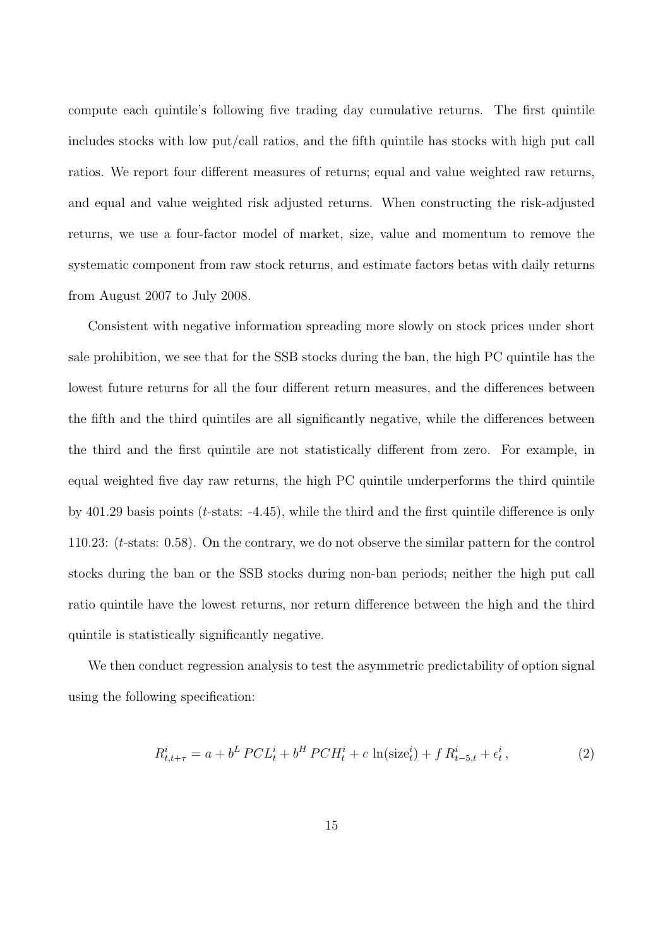compute each quintile's following five trading day cumulative returns. The first quintile includes stocks with low put/call ratios, and the fifth quintile has stocks with high put call ratios. We report four different measures of returns; equal and value weighted raw returns, and equal and value weighted risk adjusted returns. When constructing the risk-adjusted returns, we use a four-factor model of market, size, value and momentum to remove the systematic component from raw stock returns, and estimate factors betas with daily returns from August 2007 to July 2008.

Consistent with negative information spreading more slowly on stock prices under short sale prohibition, we see that for the SSB stocks during the ban, the high PC quintile has the lowest future returns for all the four different return measures, and the differences between the fifth and the third quintiles are all significantly negative, while the differences between the third and the first quintile are not statistically different from zero. For example, in equal weighted five day raw returns, the high PC quintile underperforms the third quintile by 401.29 basis points (*t*-stats: -4.45), while the third and the first quintile difference is only 110.23: (*t*-stats: 0.58). On the contrary, we do not observe the similar pattern for the control stocks during the ban or the SSB stocks during non-ban periods; neither the high put call ratio quintile have the lowest returns, nor return difference between the high and the third quintile is statistically significantly negative.

We then conduct regression analysis to test the asymmetric predictability of option signal using the following specification:

$$
R_{t,t+\tau}^{i} = a + b^{L} PCL_{t}^{i} + b^{H} PCH_{t}^{i} + c \ln(\text{size}_{t}^{i}) + f R_{t-5,t}^{i} + \epsilon_{t}^{i},
$$
\n(2)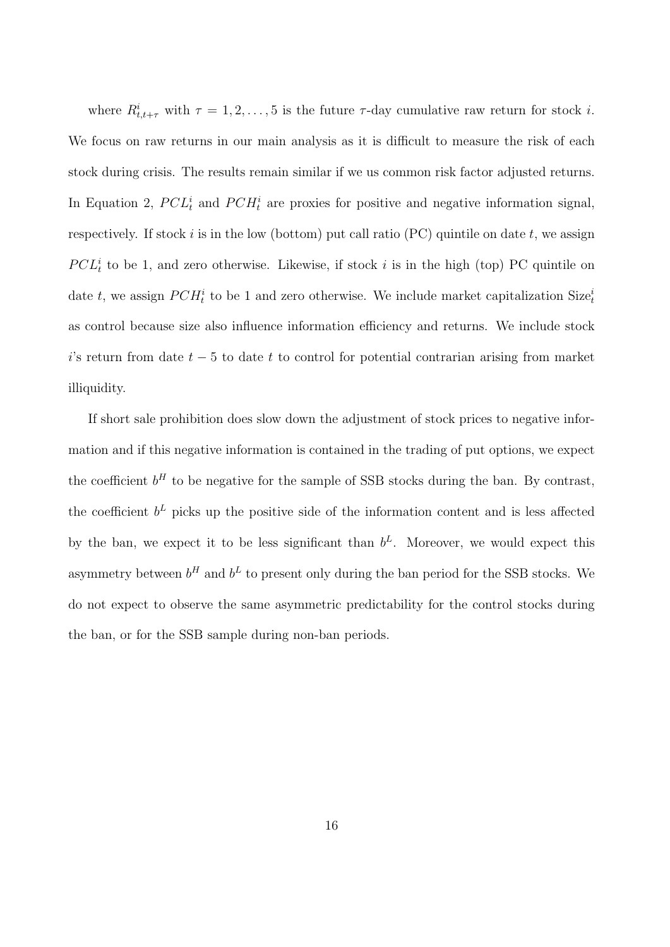where  $R^i_{t,t+\tau}$  with  $\tau = 1, 2, \ldots, 5$  is the future  $\tau$ -day cumulative raw return for stock *i*. We focus on raw returns in our main analysis as it is difficult to measure the risk of each stock during crisis. The results remain similar if we us common risk factor adjusted returns. In Equation 2,  $PCL_t^i$  and  $PCH_t^i$  are proxies for positive and negative information signal, respectively. If stock *i* is in the low (bottom) put call ratio (PC) quintile on date *t*, we assign  $PCL<sup>i</sup><sub>t</sub>$  to be 1, and zero otherwise. Likewise, if stock *i* is in the high (top) PC quintile on date *t*, we assign  $PCH_t^i$  to be 1 and zero otherwise. We include market capitalization Size $_t^i$ as control because size also influence information efficiency and returns. We include stock *i*'s return from date *t −* 5 to date *t* to control for potential contrarian arising from market illiquidity.

If short sale prohibition does slow down the adjustment of stock prices to negative information and if this negative information is contained in the trading of put options, we expect the coefficient  $b^H$  to be negative for the sample of SSB stocks during the ban. By contrast, the coefficient  $b^L$  picks up the positive side of the information content and is less affected by the ban, we expect it to be less significant than  $b^L$ . Moreover, we would expect this asymmetry between  $b^H$  and  $b^L$  to present only during the ban period for the SSB stocks. We do not expect to observe the same asymmetric predictability for the control stocks during the ban, or for the SSB sample during non-ban periods.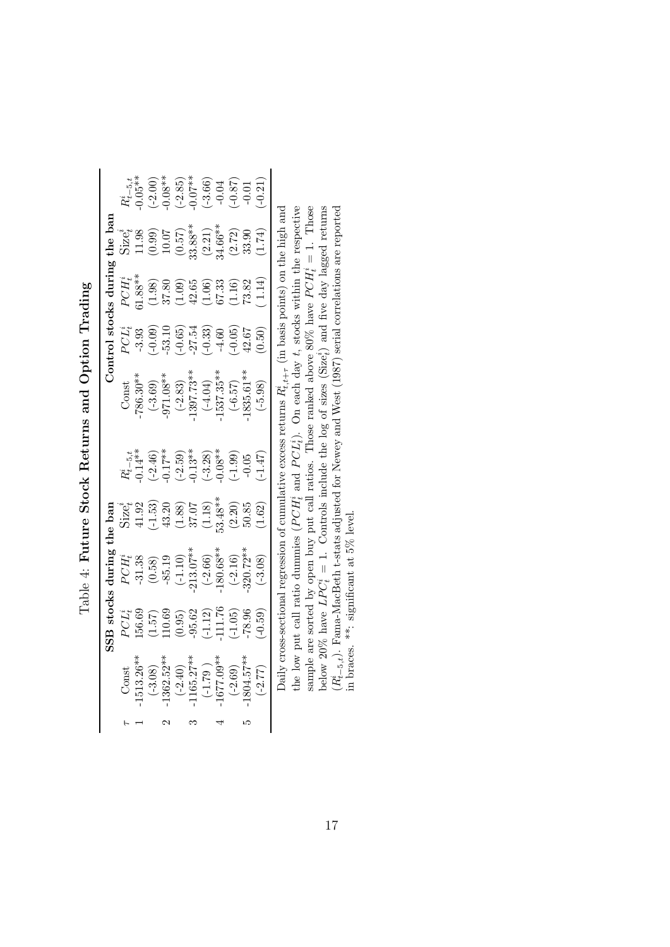|                                                                                | SSB stocks                                                                                              | during                                                                                                                                               | $the\,\,bar$ |                                                  |                                                                                                                                          |                                                                                                          | Control stocks during                                                                                           | $the\ bar$                                                                                                                                |                                                                                                      |
|--------------------------------------------------------------------------------|---------------------------------------------------------------------------------------------------------|------------------------------------------------------------------------------------------------------------------------------------------------------|--------------|--------------------------------------------------|------------------------------------------------------------------------------------------------------------------------------------------|----------------------------------------------------------------------------------------------------------|-----------------------------------------------------------------------------------------------------------------|-------------------------------------------------------------------------------------------------------------------------------------------|------------------------------------------------------------------------------------------------------|
| Const                                                                          |                                                                                                         |                                                                                                                                                      |              |                                                  | Const                                                                                                                                    |                                                                                                          |                                                                                                                 | $size_t^i$                                                                                                                                |                                                                                                      |
| $1513.26*$                                                                     | $\frac{PCL_{t}^{i}}{156.68}$                                                                            |                                                                                                                                                      |              | $R^i_{t-5,t}$<br>0.14**                          | $786.30**$                                                                                                                               | $\frac{1}{2}$<br>$-3.93$                                                                                 | $\begin{array}{c} PCH^i_t\ 1.88^{**} \end{array}$                                                               |                                                                                                                                           | $R_{t-5,t}^i$<br>0.05**                                                                              |
| $(-3.08)$                                                                      |                                                                                                         |                                                                                                                                                      |              | $(-2.46)$<br>0.17**                              |                                                                                                                                          |                                                                                                          |                                                                                                                 |                                                                                                                                           |                                                                                                      |
| $1362.52*$                                                                     |                                                                                                         |                                                                                                                                                      |              |                                                  |                                                                                                                                          |                                                                                                          |                                                                                                                 |                                                                                                                                           |                                                                                                      |
|                                                                                |                                                                                                         |                                                                                                                                                      |              |                                                  |                                                                                                                                          |                                                                                                          |                                                                                                                 |                                                                                                                                           |                                                                                                      |
|                                                                                |                                                                                                         |                                                                                                                                                      |              |                                                  |                                                                                                                                          |                                                                                                          |                                                                                                                 |                                                                                                                                           |                                                                                                      |
| $(-2.40)$<br>$(1165.27**$<br>$(-1.79)$<br>$1677.09**$<br>$(-2.69)$<br>$(2.69)$ | $\begin{array}{l} (1.57)\\ 110.69\\ (0.95)\\ -95.62\\ (-1.12)\\ (-1.12)\\ (-1.05)\\ -78.96 \end{array}$ | $PCH_1^i$<br>$-31.38$<br>$-35.19$<br>$-85.19$<br>$-1.10$<br>$-1.10$<br>$-213.07**$<br>$-2.16$<br>$-2.16$<br>$-2.16$<br>$-2.16$<br>$-2.16$<br>$-2.16$ |              | $(-2.59)$<br>$-0.13**$<br>$(-3.28)$<br>$(-3.28)$ | $\begin{array}{r} (-3.69) \\ -971.08** \\ (-2.83) \\ 1397.73** \\ (-4.04) \\ -1537.35** \\ (-6.57) \\ (-6.57) \\ (-6.57) \\ \end{array}$ | $\begin{array}{c} -0.09\\ -0.65\\ 0.65\\ -0.33\\ 0.33\\ -0.33\\ 0.05\\ 0.05\\ 0.50\\ 0.50\\ \end{array}$ | $\begin{array}{l} (1.98)\\ 37.80\\ 37.65\\ (1.09)\\ 42.65\\ (1.16)\\ 67.33\\ (1.16)\\ 73.82\\ 1.14 \end{array}$ | $\begin{array}{l} 11.98\\ (0.99)\\ 10.07\\ (0.57)\\ (0.57)\\ (2.21)\\ (2.22)\\ (2.72)\\ (3.39)\\ (4.66*)\\ (1.74)\\ (1.74)\\ \end{array}$ | $\begin{array}{c} (-2.00) \\ -0.08^{**} \\ (-2.85) \\ -0.07^{**} \\ (-3.66) \\ -0.04 \\ \end{array}$ |
|                                                                                |                                                                                                         |                                                                                                                                                      |              |                                                  |                                                                                                                                          |                                                                                                          |                                                                                                                 |                                                                                                                                           |                                                                                                      |
|                                                                                |                                                                                                         |                                                                                                                                                      |              | $(-1.99)$<br>$-0.05$                             |                                                                                                                                          |                                                                                                          |                                                                                                                 |                                                                                                                                           |                                                                                                      |
|                                                                                |                                                                                                         |                                                                                                                                                      |              |                                                  |                                                                                                                                          |                                                                                                          |                                                                                                                 |                                                                                                                                           |                                                                                                      |
| $(-2.77)$                                                                      | $-0.59$                                                                                                 | $(-3.08)$                                                                                                                                            |              | $-1.47$                                          | $(-5.98)$                                                                                                                                |                                                                                                          |                                                                                                                 |                                                                                                                                           | $-0.21$                                                                                              |
|                                                                                |                                                                                                         |                                                                                                                                                      |              |                                                  | Daily cross-sectional regression of cumulative excess returns $R^i_{t,t+\tau}$                                                           |                                                                                                          | (in basis points) on the high and                                                                               |                                                                                                                                           |                                                                                                      |
|                                                                                |                                                                                                         | the low put call ratio dummies $(PCH_t^i)$                                                                                                           |              | and $PCL_i^i$ ).                                 | On each day t, stocks                                                                                                                    |                                                                                                          |                                                                                                                 | within the respective                                                                                                                     |                                                                                                      |

Table 4: Future Stock Returns and Option Trading Table 4: **Future Stock Returns and Option Trading**

sample are sorted by open buy put call ratios. Those ranked above 80% have  $PCH_t^i = 1$ . Those<br>below 20% have  $LPC_t^i = 1$ . Controls include the log of sizes (Size<sub>i</sub><sup>2</sup>) and five day lagged returns<br> $(R_{t-s,t}^i)$ . Fama-MacBeth the low put call ratio dummies ( $PCH_i^i$  and  $PCL_i^i$ ). On each day  $t$ , stocks within the respective sample are sorted by open buy put call ratios. Those ranked above 80% have  $PCH_i^i = 1$ . Those below 20% have  $LPC_t^i = 1$ . Controls include the log of sizes (Size<sub>t</sub><sup>i</sup>) and five day lagged returns (*Rit−*5*,t*). Fama-MacBeth t-stats adjusted for Newey and West (1987) serial correlations are reported in braces. \*\*: significant at 5% level.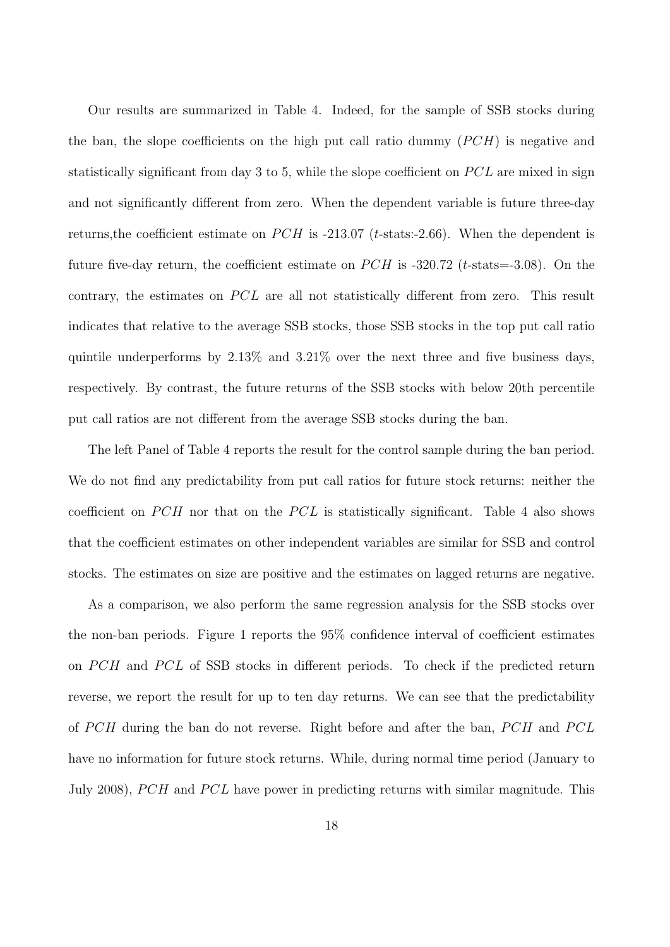Our results are summarized in Table 4. Indeed, for the sample of SSB stocks during the ban, the slope coefficients on the high put call ratio dummy (*PCH*) is negative and statistically significant from day 3 to 5, while the slope coefficient on *PCL* are mixed in sign and not significantly different from zero. When the dependent variable is future three-day returns, the coefficient estimate on *PCH* is -213.07 (*t*-stats:-2.66). When the dependent is future five-day return, the coefficient estimate on *PCH* is -320.72 (*t*-stats=-3.08). On the contrary, the estimates on *PCL* are all not statistically different from zero. This result indicates that relative to the average SSB stocks, those SSB stocks in the top put call ratio quintile underperforms by 2.13% and 3.21% over the next three and five business days, respectively. By contrast, the future returns of the SSB stocks with below 20th percentile put call ratios are not different from the average SSB stocks during the ban.

The left Panel of Table 4 reports the result for the control sample during the ban period. We do not find any predictability from put call ratios for future stock returns: neither the coefficient on *PCH* nor that on the *PCL* is statistically significant. Table 4 also shows that the coefficient estimates on other independent variables are similar for SSB and control stocks. The estimates on size are positive and the estimates on lagged returns are negative.

As a comparison, we also perform the same regression analysis for the SSB stocks over the non-ban periods. Figure 1 reports the 95% confidence interval of coefficient estimates on *PCH* and *PCL* of SSB stocks in different periods. To check if the predicted return reverse, we report the result for up to ten day returns. We can see that the predictability of *P CH* during the ban do not reverse. Right before and after the ban, *P CH* and *P CL* have no information for future stock returns. While, during normal time period (January to July 2008), *PCH* and *PCL* have power in predicting returns with similar magnitude. This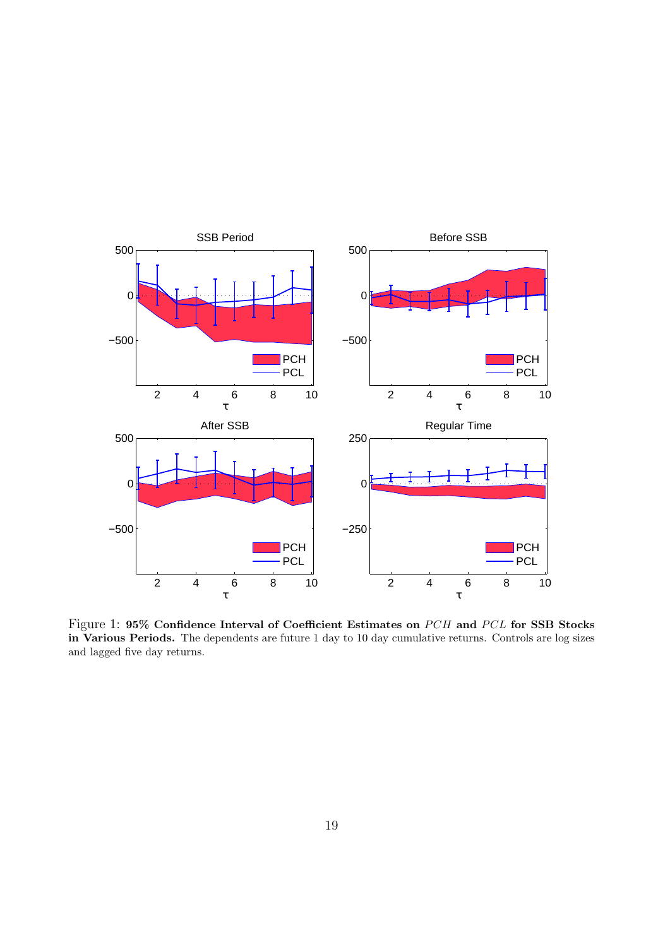

Figure 1:  $95\%$  Confidence Interval of Coefficient Estimates on *PCH* and *PCL* for SSB Stocks **in Various Periods.** The dependents are future 1 day to 10 day cumulative returns. Controls are log sizes and lagged five day returns.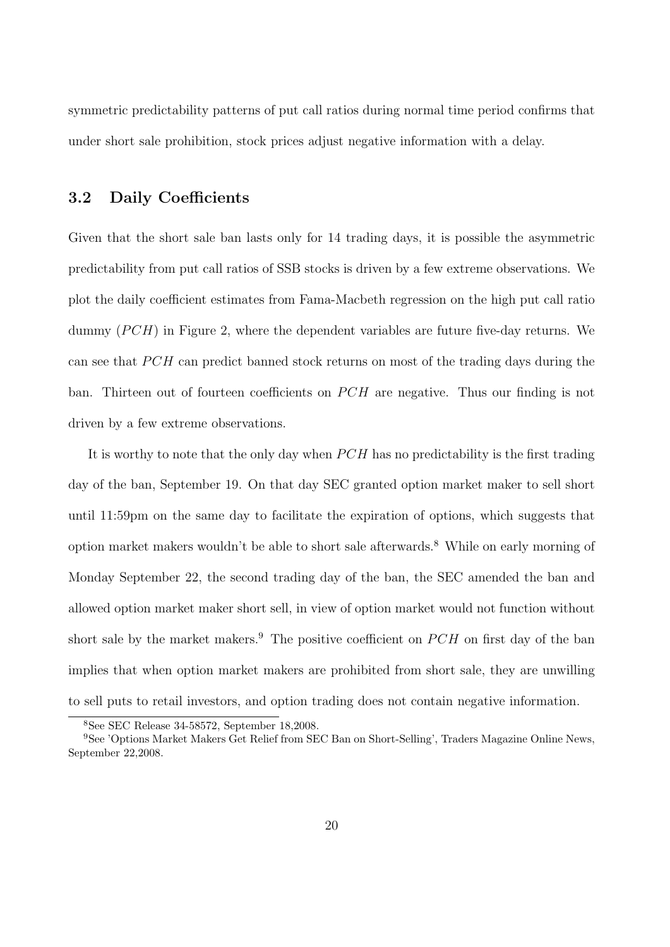symmetric predictability patterns of put call ratios during normal time period confirms that under short sale prohibition, stock prices adjust negative information with a delay.

### **3.2 Daily Coefficients**

Given that the short sale ban lasts only for 14 trading days, it is possible the asymmetric predictability from put call ratios of SSB stocks is driven by a few extreme observations. We plot the daily coefficient estimates from Fama-Macbeth regression on the high put call ratio dummy (*PCH*) in Figure 2, where the dependent variables are future five-day returns. We can see that *PCH* can predict banned stock returns on most of the trading days during the ban. Thirteen out of fourteen coefficients on *PCH* are negative. Thus our finding is not driven by a few extreme observations.

It is worthy to note that the only day when *P CH* has no predictability is the first trading day of the ban, September 19. On that day SEC granted option market maker to sell short until 11:59pm on the same day to facilitate the expiration of options, which suggests that option market makers wouldn't be able to short sale afterwards.<sup>8</sup> While on early morning of Monday September 22, the second trading day of the ban, the SEC amended the ban and allowed option market maker short sell, in view of option market would not function without short sale by the market makers.<sup>9</sup> The positive coefficient on *PCH* on first day of the ban implies that when option market makers are prohibited from short sale, they are unwilling to sell puts to retail investors, and option trading does not contain negative information.

<sup>8</sup>See SEC Release 34-58572, September 18,2008.

<sup>9</sup>See 'Options Market Makers Get Relief from SEC Ban on Short-Selling', Traders Magazine Online News, September 22,2008.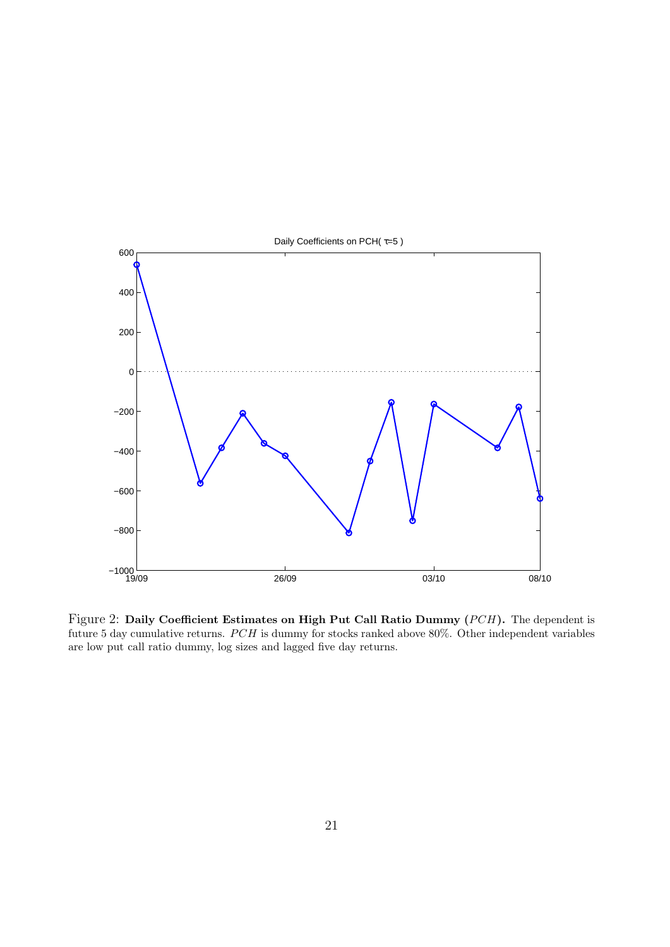

Figure 2: Daily Coefficient Estimates on High Put Call Ratio Dummy (*PCH*). The dependent is future 5 day cumulative returns. *PCH* is dummy for stocks ranked above 80%. Other independent variables are low put call ratio dummy, log sizes and lagged five day returns.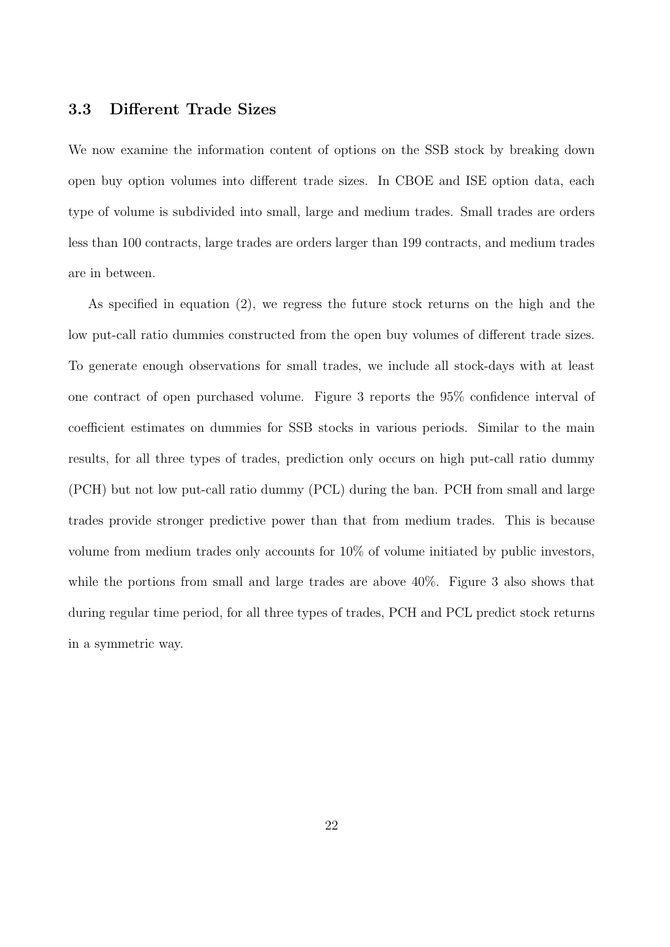### **3.3 Different Trade Sizes**

We now examine the information content of options on the SSB stock by breaking down open buy option volumes into different trade sizes. In CBOE and ISE option data, each type of volume is subdivided into small, large and medium trades. Small trades are orders less than 100 contracts, large trades are orders larger than 199 contracts, and medium trades are in between.

As specified in equation (2), we regress the future stock returns on the high and the low put-call ratio dummies constructed from the open buy volumes of different trade sizes. To generate enough observations for small trades, we include all stock-days with at least one contract of open purchased volume. Figure 3 reports the 95% confidence interval of coefficient estimates on dummies for SSB stocks in various periods. Similar to the main results, for all three types of trades, prediction only occurs on high put-call ratio dummy (PCH) but not low put-call ratio dummy (PCL) during the ban. PCH from small and large trades provide stronger predictive power than that from medium trades. This is because volume from medium trades only accounts for 10% of volume initiated by public investors, while the portions from small and large trades are above 40%. Figure 3 also shows that during regular time period, for all three types of trades, PCH and PCL predict stock returns in a symmetric way.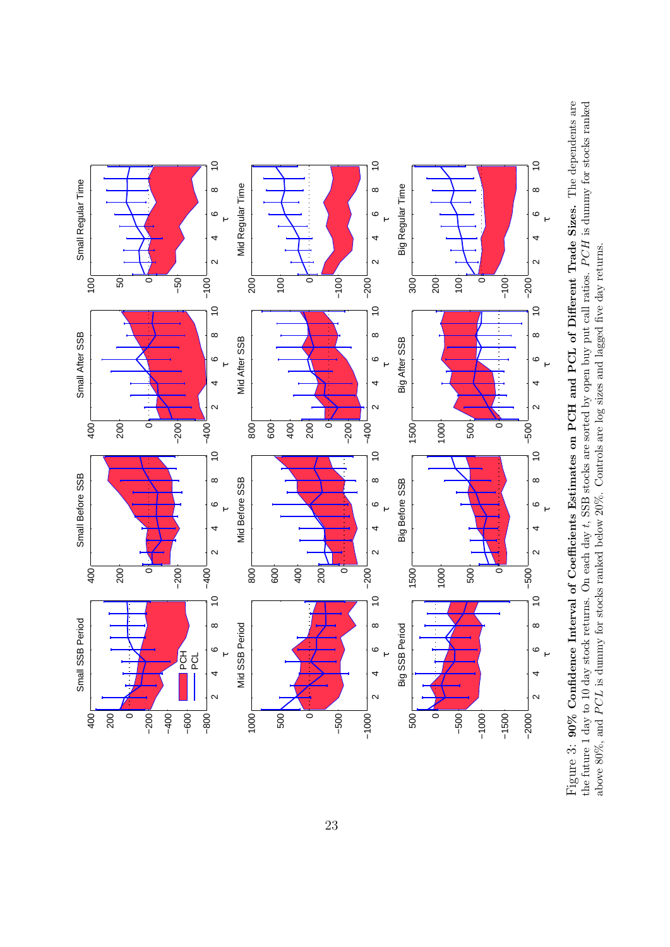

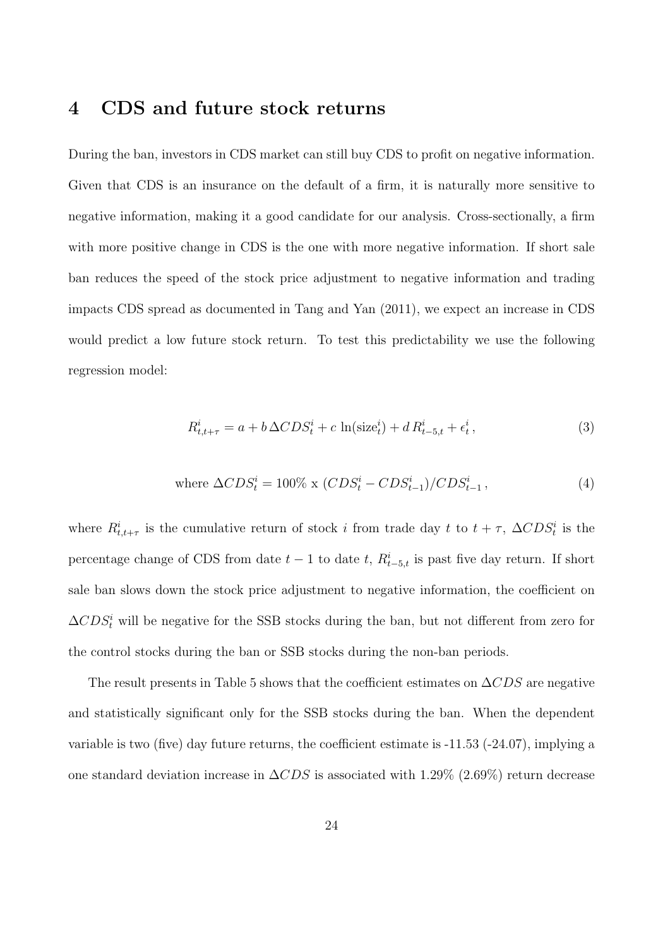## **4 CDS and future stock returns**

During the ban, investors in CDS market can still buy CDS to profit on negative information. Given that CDS is an insurance on the default of a firm, it is naturally more sensitive to negative information, making it a good candidate for our analysis. Cross-sectionally, a firm with more positive change in CDS is the one with more negative information. If short sale ban reduces the speed of the stock price adjustment to negative information and trading impacts CDS spread as documented in Tang and Yan (2011), we expect an increase in CDS would predict a low future stock return. To test this predictability we use the following regression model:

$$
R_{t,t+\tau}^i = a + b \Delta CDS_t^i + c \ln(\text{size}_t^i) + d R_{t-5,t}^i + \epsilon_t^i,\tag{3}
$$

where 
$$
\Delta CDS_t^i = 100\% \times (CDS_t^i - CDS_{t-1}^i) / CDS_{t-1}^i
$$
, (4)

where  $R^i_{t,t+\tau}$  is the cumulative return of stock *i* from trade day *t* to  $t+\tau$ ,  $\Delta CDS^i_t$  is the percentage change of CDS from date  $t - 1$  to date  $t$ ,  $R_{t-5,t}^{i}$  is past five day return. If short sale ban slows down the stock price adjustment to negative information, the coefficient on  $\Delta CDS_t^i$  will be negative for the SSB stocks during the ban, but not different from zero for the control stocks during the ban or SSB stocks during the non-ban periods.

The result presents in Table 5 shows that the coefficient estimates on ∆*CDS* are negative and statistically significant only for the SSB stocks during the ban. When the dependent variable is two (five) day future returns, the coefficient estimate is -11.53 (-24.07), implying a one standard deviation increase in ∆*CDS* is associated with 1.29% (2.69%) return decrease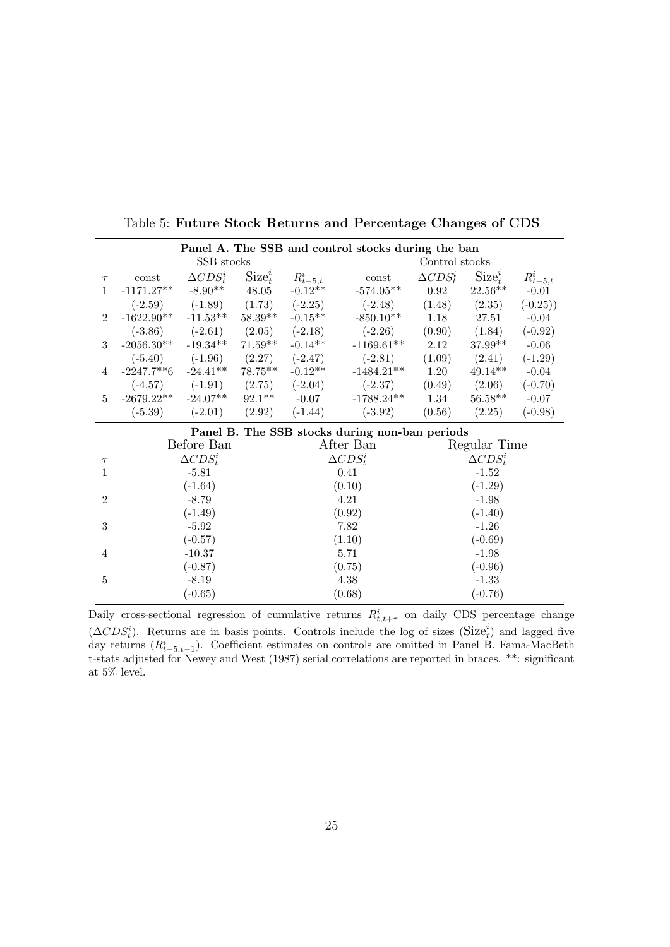|                |                                       |                     |            | Panel A. The SSB and control stocks during the ban |                                                |                  |                  |               |  |
|----------------|---------------------------------------|---------------------|------------|----------------------------------------------------|------------------------------------------------|------------------|------------------|---------------|--|
|                |                                       | SSB stocks          |            |                                                    |                                                |                  | Control stocks   |               |  |
| $\tau$         | const                                 | $\Delta CDS_t^i$    | $Size_t^i$ | $R_{t-5,t}^i$                                      | const                                          | $\Delta CDS_t^i$ | $Size_t^i$       | $R_{t-5,t}^i$ |  |
| $\mathbf{1}$   | $-1171.27**$                          | $-8.90**$           | 48.05      | $-0.12**$                                          | $-574.05**$                                    | 0.92             | $22.56**$        | $-0.01$       |  |
|                | $(-2.59)$                             | $(-1.89)$           | (1.73)     | $(-2.25)$                                          | $(-2.48)$                                      | (1.48)           | (2.35)           | $(-0.25))$    |  |
| $\overline{2}$ | $-1622.90**$                          | $-11.53**$          | $58.39**$  | $-0.15**$                                          | $-850.10**$                                    | 1.18             | 27.51            | $-0.04$       |  |
|                | $(-3.86)$                             | $(-2.61)$ $(2.05)$  |            | $(-2.18)$                                          | $(-2.26)$                                      | (0.90)           | (1.84)           | $(-0.92)$     |  |
| 3              | $-2056.30**$                          | $-19.34***$ 71.59** |            | $-0.14**$                                          | $-1169.61**$                                   | 2.12             | 37.99**          | $-0.06$       |  |
|                | $(-5.40)$ $(-1.96)$ $(2.27)$          |                     | $(-2.47)$  | $(-2.81)$                                          |                                                | (2.41)           | $(-1.29)$        |               |  |
| 4              | $-2247.7**6$ $-24.41**$<br>$78.75***$ |                     | $-0.12**$  | $-1484.21**$                                       | 1.20                                           | $49.14**$        | $-0.04$          |               |  |
|                | $(-4.57)$<br>$(-1.91)$<br>(2.75)      |                     | $(-2.04)$  | $(-2.37)$                                          | (0.49)                                         | (2.06)           | $(-0.70)$        |               |  |
| $\overline{5}$ | $-2679.22**$                          | $-24.07**$          | $92.1***$  | $-0.07$                                            | $-1788.24**$                                   |                  | $56.58**$        | $-0.07$       |  |
|                | $(-5.39)$                             | $(-2.01)$           | (2.92)     | $(-1.44)$                                          | $(-3.92)$                                      | (0.56)           | (2.25)           | $(-0.98)$     |  |
|                |                                       |                     |            |                                                    | Panel B. The SSB stocks during non-ban periods |                  |                  |               |  |
|                |                                       | Before Ban          |            |                                                    | After Ban                                      |                  | Regular Time     |               |  |
| $\tau$         |                                       | $\Delta CDS_t^i$    |            |                                                    | $\Delta CDS_t^i$                               |                  | $\Delta CDS_t^i$ |               |  |
| $\mathbf{1}$   |                                       | $-5.81$             |            |                                                    | 0.41                                           |                  | $-1.52$          |               |  |
|                |                                       | $(-1.64)$           |            |                                                    | (0.10)                                         |                  | $(-1.29)$        |               |  |
| $\overline{2}$ | $-8.79$                               |                     |            |                                                    | 4.21                                           |                  | $-1.98$          |               |  |
|                | $(-1.49)$                             |                     |            |                                                    | (0.92)                                         | $(-1.40)$        |                  |               |  |
| 3              | $-5.92$                               |                     |            | 7.82                                               |                                                | $-1.26$          |                  |               |  |
|                | $(-0.57)$                             |                     |            | (1.10)                                             |                                                | $(-0.69)$        |                  |               |  |
| $\overline{4}$ | $-10.37$                              |                     |            | 5.71                                               |                                                | $-1.98$          |                  |               |  |
|                | $(-0.87)$                             |                     |            |                                                    | (0.75)                                         | $(-0.96)$        |                  |               |  |
| $\overline{5}$ |                                       | $-8.19$             |            |                                                    | 4.38                                           |                  | $-1.33$          |               |  |
|                |                                       | $(-0.65)$           |            |                                                    | (0.68)                                         |                  | $(-0.76)$        |               |  |

Table 5: **Future Stock Returns and Percentage Changes of CDS**

Daily cross-sectional regression of cumulative returns  $R^i_{t,t+\tau}$  on daily CDS percentage change  $(\Delta CDS_t^i)$ . Returns are in basis points. Controls include the log of sizes (Size<sup>*i*</sup><sub>t</sub>) and lagged five day returns  $(R^i_{t-5,t-1})$ . Coefficient estimates on controls are omitted in Panel B. Fama-MacBeth t-stats adjusted for Newey and West (1987) serial correlations are reported in braces. \*\*: significant at 5% level.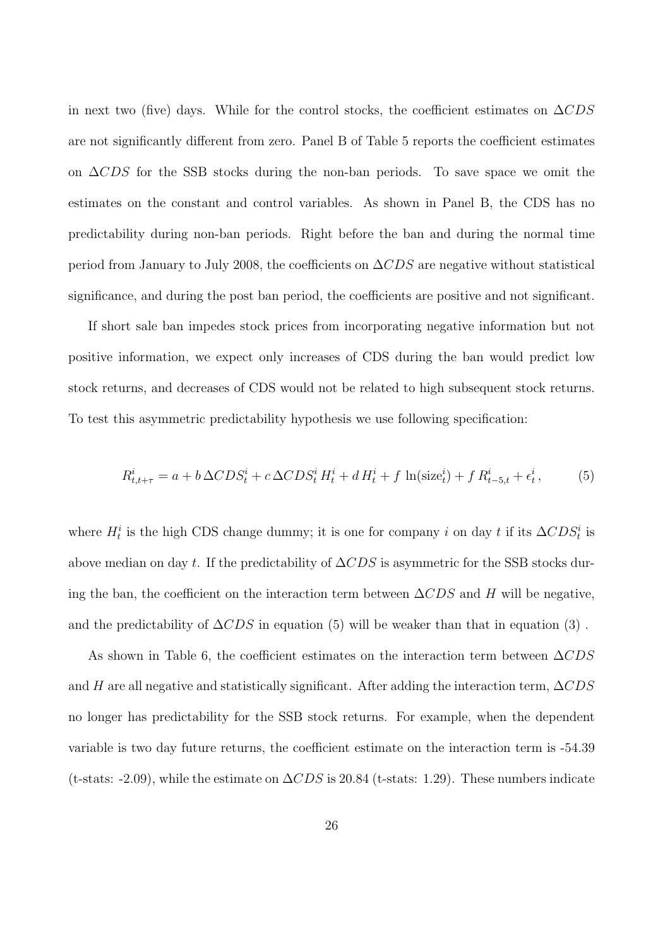in next two (five) days. While for the control stocks, the coefficient estimates on ∆*CDS* are not significantly different from zero. Panel B of Table 5 reports the coefficient estimates on ∆*CDS* for the SSB stocks during the non-ban periods. To save space we omit the estimates on the constant and control variables. As shown in Panel B, the CDS has no predictability during non-ban periods. Right before the ban and during the normal time period from January to July 2008, the coefficients on ∆*CDS* are negative without statistical significance, and during the post ban period, the coefficients are positive and not significant.

If short sale ban impedes stock prices from incorporating negative information but not positive information, we expect only increases of CDS during the ban would predict low stock returns, and decreases of CDS would not be related to high subsequent stock returns. To test this asymmetric predictability hypothesis we use following specification:

$$
R_{t,t+\tau}^{i} = a + b \Delta CDS_{t}^{i} + c \Delta CDS_{t}^{i} H_{t}^{i} + d H_{t}^{i} + f \ln(\text{size}_{t}^{i}) + f R_{t-5,t}^{i} + \epsilon_{t}^{i},
$$
(5)

where  $H_t^i$  is the high CDS change dummy; it is one for company *i* on day *t* if its  $\Delta CDS_t^i$  is above median on day *t*. If the predictability of ∆*CDS* is asymmetric for the SSB stocks during the ban, the coefficient on the interaction term between ∆*CDS* and *H* will be negative, and the predictability of  $\Delta CDS$  in equation (5) will be weaker than that in equation (3).

As shown in Table 6, the coefficient estimates on the interaction term between ∆*CDS* and *H* are all negative and statistically significant. After adding the interaction term, ∆*CDS* no longer has predictability for the SSB stock returns. For example, when the dependent variable is two day future returns, the coefficient estimate on the interaction term is -54.39 (t-stats: -2.09), while the estimate on ∆*CDS* is 20.84 (t-stats: 1.29). These numbers indicate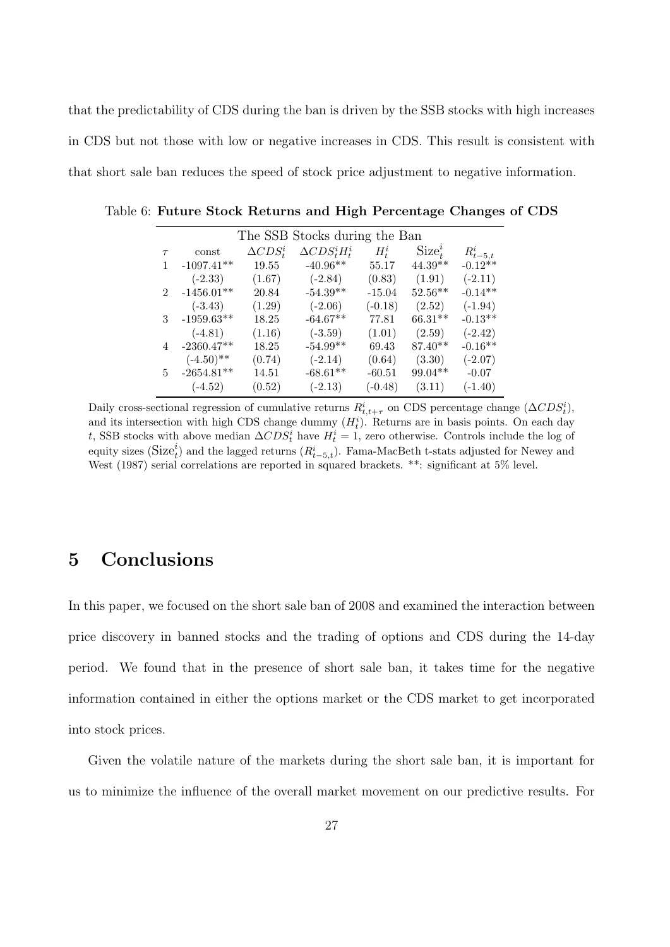that the predictability of CDS during the ban is driven by the SSB stocks with high increases in CDS but not those with low or negative increases in CDS. This result is consistent with that short sale ban reduces the speed of stock price adjustment to negative information.

|                |              |                  | The SSB Stocks during the Ban |           |            |               |
|----------------|--------------|------------------|-------------------------------|-----------|------------|---------------|
| $\tau$         | const        | $\Delta CDS_t^i$ | $\Delta CDS_t^iH_t^i$         | $H_t^i$   | $Size_t^i$ | $R_{t-5,t}^i$ |
|                | $-1097.41**$ | 19.55            | $-40.96**$                    | 55.17     | $44.39**$  | $-0.12**$     |
|                | $(-2.33)$    | (1.67)           | $(-2.84)$                     | (0.83)    | (1.91)     | $(-2.11)$     |
| $\overline{2}$ | $-1456.01**$ | 20.84            | $-54.39**$                    | $-15.04$  | $52.56**$  | $-0.14**$     |
|                | $(-3.43)$    | (1.29)           | $(-2.06)$                     | $(-0.18)$ | (2.52)     | $(-1.94)$     |
| 3              | $-1959.63**$ | 18.25            | $-64.67**$                    | 77.81     | $66.31**$  | $-0.13**$     |
|                | $(-4.81)$    | (1.16)           | $(-3.59)$                     | (1.01)    | (2.59)     | $(-2.42)$     |
| 4              | $-2360.47**$ | 18.25            | $-54.99**$                    | 69.43     | $87.40**$  | $-0.16**$     |
|                | $(-4.50)$ ** | (0.74)           | $(-2.14)$                     | (0.64)    | (3.30)     | $(-2.07)$     |
| 5.             | $-2654.81**$ | 14.51            | $-68.61**$                    | $-60.51$  | $99.04**$  | $-0.07$       |
|                | $(-4.52)$    | (0.52)           | $(-2.13)$                     | $(-0.48)$ | (3.11)     | $(-1.40)$     |

Table 6: **Future Stock Returns and High Percentage Changes of CDS**

Daily cross-sectional regression of cumulative returns  $R^i_{t,t+\tau}$  on CDS percentage change  $(\Delta CDS^i_t)$ , and its intersection with high CDS change dummy  $(H_t^i)$ . Returns are in basis points. On each day *t*, SSB stocks with above median  $\Delta CDS_t^i$  have  $H_t^i = 1$ , zero otherwise. Controls include the log of equity sizes  $(Size_t^i)$  and the lagged returns  $(R_{t-5,t}^i)$ . Fama-MacBeth t-stats adjusted for Newey and West (1987) serial correlations are reported in squared brackets. \*\*: significant at 5% level.

## **5 Conclusions**

In this paper, we focused on the short sale ban of 2008 and examined the interaction between price discovery in banned stocks and the trading of options and CDS during the 14-day period. We found that in the presence of short sale ban, it takes time for the negative information contained in either the options market or the CDS market to get incorporated into stock prices.

Given the volatile nature of the markets during the short sale ban, it is important for us to minimize the influence of the overall market movement on our predictive results. For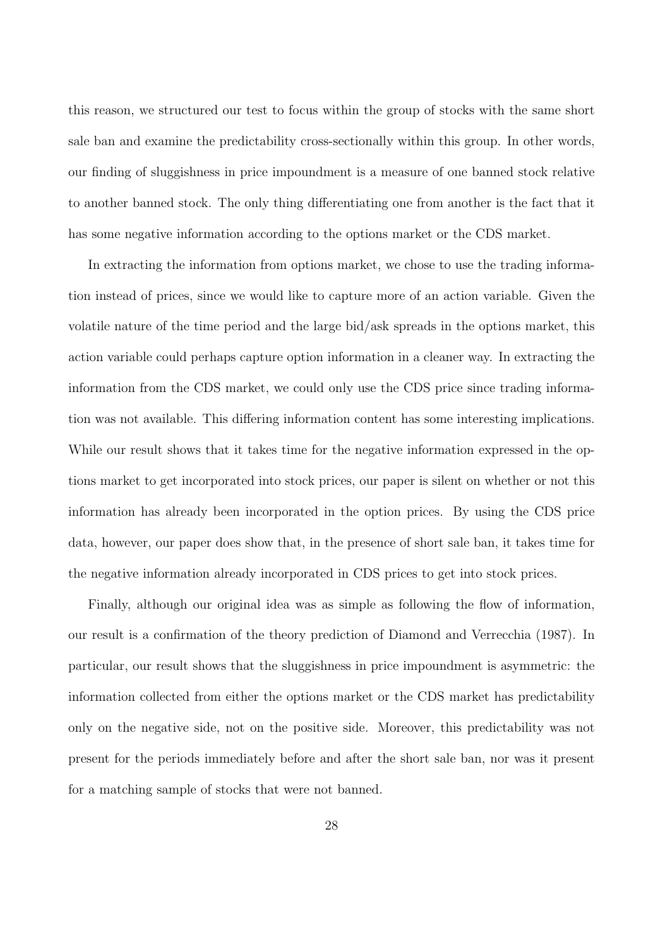this reason, we structured our test to focus within the group of stocks with the same short sale ban and examine the predictability cross-sectionally within this group. In other words, our finding of sluggishness in price impoundment is a measure of one banned stock relative to another banned stock. The only thing differentiating one from another is the fact that it has some negative information according to the options market or the CDS market.

In extracting the information from options market, we chose to use the trading information instead of prices, since we would like to capture more of an action variable. Given the volatile nature of the time period and the large bid/ask spreads in the options market, this action variable could perhaps capture option information in a cleaner way. In extracting the information from the CDS market, we could only use the CDS price since trading information was not available. This differing information content has some interesting implications. While our result shows that it takes time for the negative information expressed in the options market to get incorporated into stock prices, our paper is silent on whether or not this information has already been incorporated in the option prices. By using the CDS price data, however, our paper does show that, in the presence of short sale ban, it takes time for the negative information already incorporated in CDS prices to get into stock prices.

Finally, although our original idea was as simple as following the flow of information, our result is a confirmation of the theory prediction of Diamond and Verrecchia (1987). In particular, our result shows that the sluggishness in price impoundment is asymmetric: the information collected from either the options market or the CDS market has predictability only on the negative side, not on the positive side. Moreover, this predictability was not present for the periods immediately before and after the short sale ban, nor was it present for a matching sample of stocks that were not banned.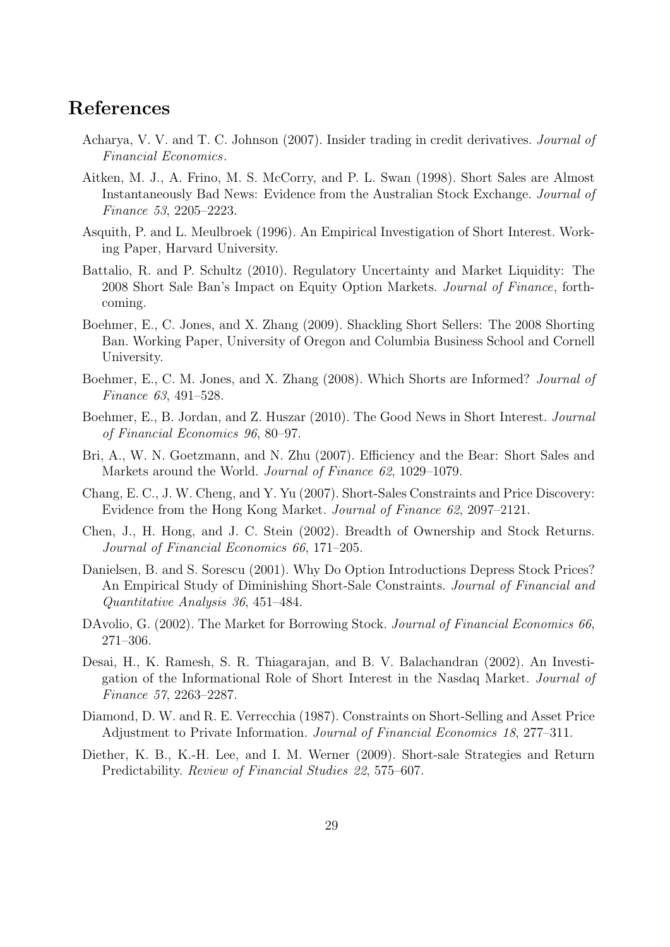## **References**

- Acharya, V. V. and T. C. Johnson (2007). Insider trading in credit derivatives. *Journal of Financial Economics*.
- Aitken, M. J., A. Frino, M. S. McCorry, and P. L. Swan (1998). Short Sales are Almost Instantaneously Bad News: Evidence from the Australian Stock Exchange. *Journal of Finance 53*, 2205–2223.
- Asquith, P. and L. Meulbroek (1996). An Empirical Investigation of Short Interest. Working Paper, Harvard University.
- Battalio, R. and P. Schultz (2010). Regulatory Uncertainty and Market Liquidity: The 2008 Short Sale Ban's Impact on Equity Option Markets. *Journal of Finance*, forthcoming.
- Boehmer, E., C. Jones, and X. Zhang (2009). Shackling Short Sellers: The 2008 Shorting Ban. Working Paper, University of Oregon and Columbia Business School and Cornell University.
- Boehmer, E., C. M. Jones, and X. Zhang (2008). Which Shorts are Informed? *Journal of Finance 63*, 491–528.
- Boehmer, E., B. Jordan, and Z. Huszar (2010). The Good News in Short Interest. *Journal of Financial Economics 96*, 80–97.
- Bri, A., W. N. Goetzmann, and N. Zhu (2007). Efficiency and the Bear: Short Sales and Markets around the World. *Journal of Finance 62*, 1029–1079.
- Chang, E. C., J. W. Cheng, and Y. Yu (2007). Short-Sales Constraints and Price Discovery: Evidence from the Hong Kong Market. *Journal of Finance 62*, 2097–2121.
- Chen, J., H. Hong, and J. C. Stein (2002). Breadth of Ownership and Stock Returns. *Journal of Financial Economics 66*, 171–205.
- Danielsen, B. and S. Sorescu (2001). Why Do Option Introductions Depress Stock Prices? An Empirical Study of Diminishing Short-Sale Constraints. *Journal of Financial and Quantitative Analysis 36*, 451–484.
- DAvolio, G. (2002). The Market for Borrowing Stock. *Journal of Financial Economics 66*, 271–306.
- Desai, H., K. Ramesh, S. R. Thiagarajan, and B. V. Balachandran (2002). An Investigation of the Informational Role of Short Interest in the Nasdaq Market. *Journal of Finance 57*, 2263–2287.
- Diamond, D. W. and R. E. Verrecchia (1987). Constraints on Short-Selling and Asset Price Adjustment to Private Information. *Journal of Financial Economics 18*, 277–311.
- Diether, K. B., K.-H. Lee, and I. M. Werner (2009). Short-sale Strategies and Return Predictability. *Review of Financial Studies 22*, 575–607.